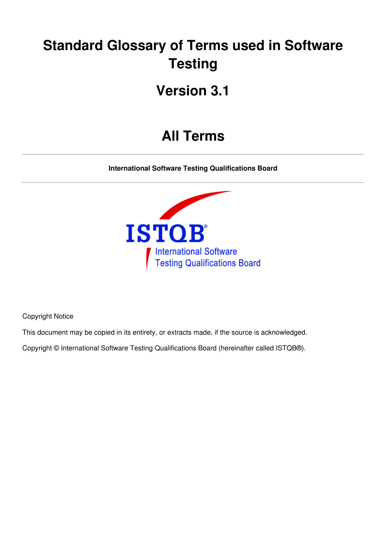# **Standard Glossary of Terms used in Software Testing**

# **Version 3.1**

# **All Terms**

**International Software Testing Qualifications Board**



Copyright Notice

This document may be copied in its entirety, or extracts made, if the source is acknowledged.

Copyright © International Software Testing Qualifications Board (hereinafter called ISTQB®).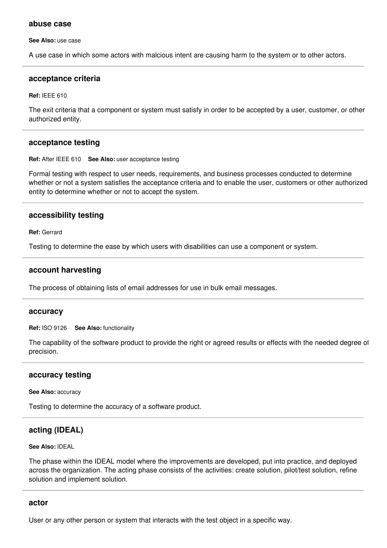#### **abuse case**

**See Also:** use case

A use case in which some actors with malcious intent are causing harm to the system or to other actors.

#### **acceptance criteria**

**Ref:** IEEE 610

The exit criteria that a component or system must satisfy in order to be accepted by a user, customer, or other authorized entity.

#### **acceptance testing**

**Ref:** After IEEE 610 **See Also:** user acceptance testing

Formal testing with respect to user needs, requirements, and business processes conducted to determine whether or not a system satisfies the acceptance criteria and to enable the user, customers or other authorized entity to determine whether or not to accept the system.

#### **accessibility testing**

**Ref:** Gerrard

Testing to determine the ease by which users with disabilities can use a component or system.

#### **account harvesting**

The process of obtaining lists of email addresses for use in bulk email messages.

#### **accuracy**

**Ref:** ISO 9126 **See Also:** functionality

The capability of the software product to provide the right or agreed results or effects with the needed degree of precision.

#### **accuracy testing**

**See Also:** accuracy

Testing to determine the accuracy of a software product.

# **acting (IDEAL)**

#### **See Also:** IDEAL

The phase within the IDEAL model where the improvements are developed, put into practice, and deployed across the organization. The acting phase consists of the activities: create solution, pilot/test solution, refine solution and implement solution.

#### **actor**

User or any other person or system that interacts with the test object in a specific way.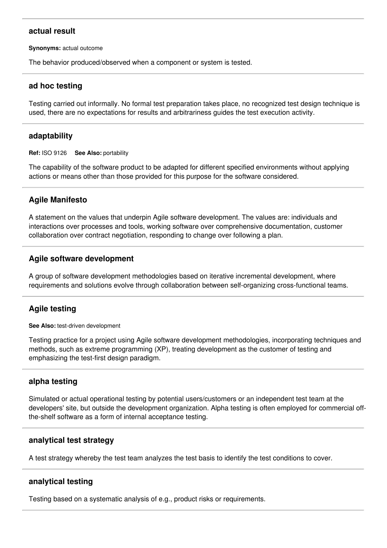# **actual result**

**Synonyms:** actual outcome

The behavior produced/observed when a component or system is tested.

## **ad hoc testing**

Testing carried out informally. No formal test preparation takes place, no recognized test design technique is used, there are no expectations for results and arbitrariness guides the test execution activity.

#### **adaptability**

**Ref:** ISO 9126 **See Also:** portability

The capability of the software product to be adapted for different specified environments without applying actions or means other than those provided for this purpose for the software considered.

# **Agile Manifesto**

A statement on the values that underpin Agile software development. The values are: individuals and interactions over processes and tools, working software over comprehensive documentation, customer collaboration over contract negotiation, responding to change over following a plan.

## **Agile software development**

A group of software development methodologies based on iterative incremental development, where requirements and solutions evolve through collaboration between self-organizing cross-functional teams.

# **Agile testing**

**See Also:** test-driven development

Testing practice for a project using Agile software development methodologies, incorporating techniques and methods, such as extreme programming (XP), treating development as the customer of testing and emphasizing the test-first design paradigm.

## **alpha testing**

Simulated or actual operational testing by potential users/customers or an independent test team at the developers' site, but outside the development organization. Alpha testing is often employed for commercial offthe-shelf software as a form of internal acceptance testing.

#### **analytical test strategy**

A test strategy whereby the test team analyzes the test basis to identify the test conditions to cover.

## **analytical testing**

Testing based on a systematic analysis of e.g., product risks or requirements.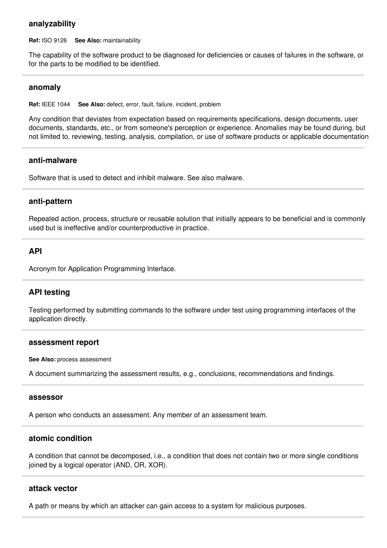#### **analyzability**

**Ref:** ISO 9126 **See Also:** maintainability

The capability of the software product to be diagnosed for deficiencies or causes of failures in the software, or for the parts to be modified to be identified.

#### **anomaly**

**Ref:** IEEE 1044 **See Also:** defect, error, fault, failure, incident, problem

Any condition that deviates from expectation based on requirements specifications, design documents, user documents, standards, etc., or from someone's perception or experience. Anomalies may be found during, but not limited to, reviewing, testing, analysis, compilation, or use of software products or applicable documentation.

#### **anti-malware**

Software that is used to detect and inhibit malware. See also malware.

#### **anti-pattern**

Repeated action, process, structure or reusable solution that initially appears to be beneficial and is commonly used but is ineffective and/or counterproductive in practice.

## **API**

Acronym for Application Programming Interface.

## **API testing**

Testing performed by submitting commands to the software under test using programming interfaces of the application directly.

#### **assessment report**

**See Also:** process assessment

A document summarizing the assessment results, e.g., conclusions, recommendations and findings.

#### **assessor**

A person who conducts an assessment. Any member of an assessment team.

## **atomic condition**

A condition that cannot be decomposed, i.e., a condition that does not contain two or more single conditions joined by a logical operator (AND, OR, XOR).

#### **attack vector**

A path or means by which an attacker can gain access to a system for malicious purposes.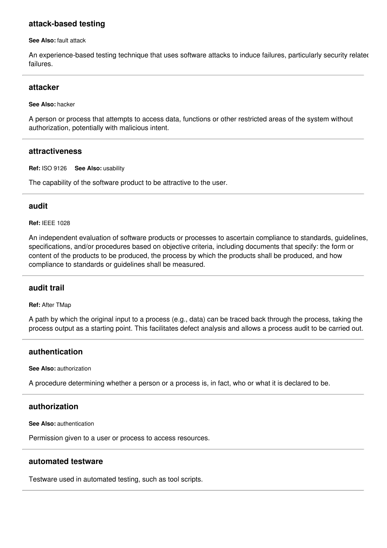## **attack-based testing**

**See Also:** fault attack

An experience-based testing technique that uses software attacks to induce failures, particularly security related failures.

#### **attacker**

#### **See Also:** hacker

A person or process that attempts to access data, functions or other restricted areas of the system without authorization, potentially with malicious intent.

#### **attractiveness**

**Ref:** ISO 9126 **See Also:** usability

The capability of the software product to be attractive to the user.

## **audit**

**Ref:** IEEE 1028

An independent evaluation of software products or processes to ascertain compliance to standards, guidelines, specifications, and/or procedures based on objective criteria, including documents that specify: the form or content of the products to be produced, the process by which the products shall be produced, and how compliance to standards or guidelines shall be measured.

## **audit trail**

**Ref:** After TMap

A path by which the original input to a process (e.g., data) can be traced back through the process, taking the process output as a starting point. This facilitates defect analysis and allows a process audit to be carried out.

# **authentication**

**See Also:** authorization

A procedure determining whether a person or a process is, in fact, who or what it is declared to be.

## **authorization**

**See Also:** authentication

Permission given to a user or process to access resources.

#### **automated testware**

Testware used in automated testing, such as tool scripts.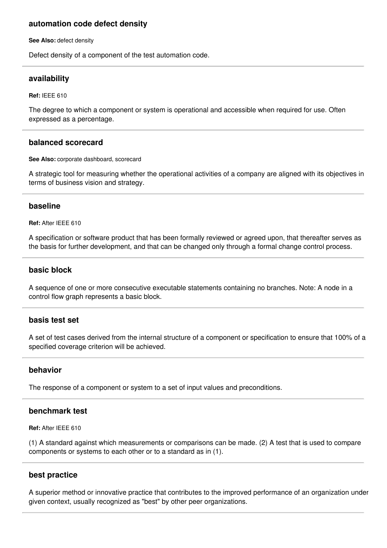# **automation code defect density**

**See Also:** defect density

Defect density of a component of the test automation code.

#### **availability**

**Ref:** IEEE 610

The degree to which a component or system is operational and accessible when required for use. Often expressed as a percentage.

#### **balanced scorecard**

**See Also:** corporate dashboard, scorecard

A strategic tool for measuring whether the operational activities of a company are aligned with its objectives in terms of business vision and strategy.

#### **baseline**

**Ref:** After IEEE 610

A specification or software product that has been formally reviewed or agreed upon, that thereafter serves as the basis for further development, and that can be changed only through a formal change control process.

## **basic block**

A sequence of one or more consecutive executable statements containing no branches. Note: A node in a control flow graph represents a basic block.

#### **basis test set**

A set of test cases derived from the internal structure of a component or specification to ensure that 100% of a specified coverage criterion will be achieved.

## **behavior**

The response of a component or system to a set of input values and preconditions.

## **benchmark test**

**Ref:** After IEEE 610

(1) A standard against which measurements or comparisons can be made. (2) A test that is used to compare components or systems to each other or to a standard as in (1).

#### **best practice**

A superior method or innovative practice that contributes to the improved performance of an organization under given context, usually recognized as "best" by other peer organizations.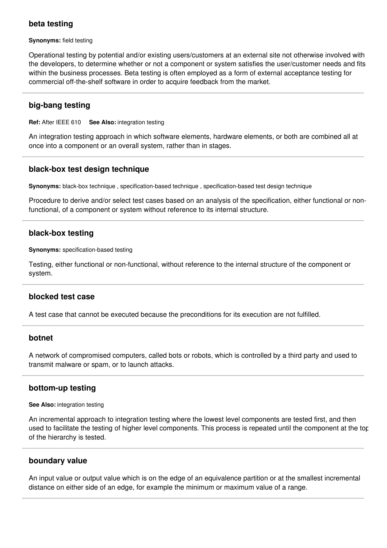# **beta testing**

**Synonyms:** field testing

Operational testing by potential and/or existing users/customers at an external site not otherwise involved with the developers, to determine whether or not a component or system satisfies the user/customer needs and fits within the business processes. Beta testing is often employed as a form of external acceptance testing for commercial off-the-shelf software in order to acquire feedback from the market.

# **big-bang testing**

**Ref:** After IEEE 610 **See Also:** integration testing

An integration testing approach in which software elements, hardware elements, or both are combined all at once into a component or an overall system, rather than in stages.

## **black-box test design technique**

**Synonyms:** black-box technique , specification-based technique , specification-based test design technique

Procedure to derive and/or select test cases based on an analysis of the specification, either functional or nonfunctional, of a component or system without reference to its internal structure.

## **black-box testing**

**Synonyms:** specification-based testing

Testing, either functional or non-functional, without reference to the internal structure of the component or system.

## **blocked test case**

A test case that cannot be executed because the preconditions for its execution are not fulfilled.

#### **botnet**

A network of compromised computers, called bots or robots, which is controlled by a third party and used to transmit malware or spam, or to launch attacks.

#### **bottom-up testing**

#### **See Also:** integration testing

An incremental approach to integration testing where the lowest level components are tested first, and then used to facilitate the testing of higher level components. This process is repeated until the component at the top of the hierarchy is tested.

## **boundary value**

An input value or output value which is on the edge of an equivalence partition or at the smallest incremental distance on either side of an edge, for example the minimum or maximum value of a range.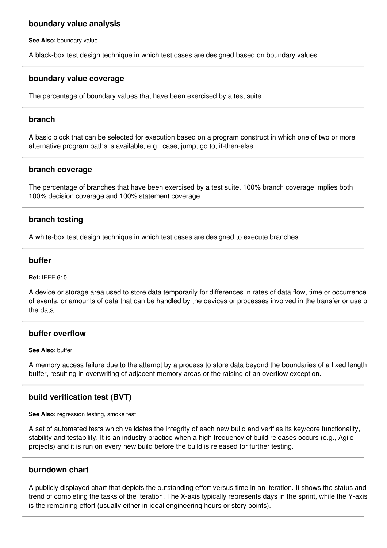## **boundary value analysis**

**See Also:** boundary value

A black-box test design technique in which test cases are designed based on boundary values.

#### **boundary value coverage**

The percentage of boundary values that have been exercised by a test suite.

#### **branch**

A basic block that can be selected for execution based on a program construct in which one of two or more alternative program paths is available, e.g., case, jump, go to, if-then-else.

#### **branch coverage**

The percentage of branches that have been exercised by a test suite. 100% branch coverage implies both 100% decision coverage and 100% statement coverage.

## **branch testing**

A white-box test design technique in which test cases are designed to execute branches.

#### **buffer**

**Ref:** IEEE 610

A device or storage area used to store data temporarily for differences in rates of data flow, time or occurrence of events, or amounts of data that can be handled by the devices or processes involved in the transfer or use of the data.

## **buffer overflow**

#### **See Also:** buffer

A memory access failure due to the attempt by a process to store data beyond the boundaries of a fixed length buffer, resulting in overwriting of adjacent memory areas or the raising of an overflow exception.

# **build verification test (BVT)**

**See Also:** regression testing, smoke test

A set of automated tests which validates the integrity of each new build and verifies its key/core functionality, stability and testability. It is an industry practice when a high frequency of build releases occurs (e.g., Agile projects) and it is run on every new build before the build is released for further testing.

## **burndown chart**

A publicly displayed chart that depicts the outstanding effort versus time in an iteration. It shows the status and trend of completing the tasks of the iteration. The X-axis typically represents days in the sprint, while the Y-axis is the remaining effort (usually either in ideal engineering hours or story points).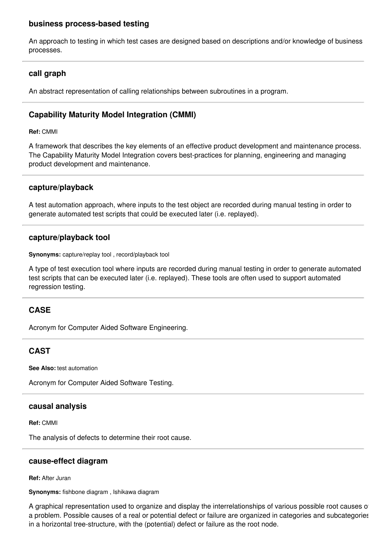## **business process-based testing**

An approach to testing in which test cases are designed based on descriptions and/or knowledge of business processes.

# **call graph**

An abstract representation of calling relationships between subroutines in a program.

# **Capability Maturity Model Integration (CMMI)**

**Ref:** CMMI

A framework that describes the key elements of an effective product development and maintenance process. The Capability Maturity Model Integration covers best-practices for planning, engineering and managing product development and maintenance.

## **capture/playback**

A test automation approach, where inputs to the test object are recorded during manual testing in order to generate automated test scripts that could be executed later (i.e. replayed).

## **capture/playback tool**

**Synonyms:** capture/replay tool , record/playback tool

A type of test execution tool where inputs are recorded during manual testing in order to generate automated test scripts that can be executed later (i.e. replayed). These tools are often used to support automated regression testing.

# **CASE**

Acronym for Computer Aided Software Engineering.

# **CAST**

**See Also:** test automation

Acronym for Computer Aided Software Testing.

## **causal analysis**

**Ref:** CMMI

The analysis of defects to determine their root cause.

## **cause-effect diagram**

**Ref:** After Juran

**Synonyms:** fishbone diagram , Ishikawa diagram

A graphical representation used to organize and display the interrelationships of various possible root causes of a problem. Possible causes of a real or potential defect or failure are organized in categories and subcategories in a horizontal tree-structure, with the (potential) defect or failure as the root node.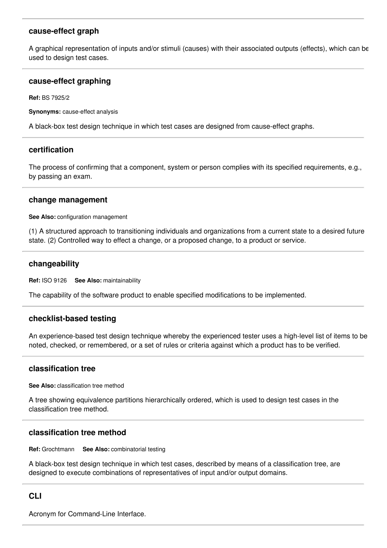# **cause-effect graph**

A graphical representation of inputs and/or stimuli (causes) with their associated outputs (effects), which can be used to design test cases.

## **cause-effect graphing**

**Ref:** BS 7925/2

**Synonyms:** cause-effect analysis

A black-box test design technique in which test cases are designed from cause-effect graphs.

#### **certification**

The process of confirming that a component, system or person complies with its specified requirements, e.g., by passing an exam.

#### **change management**

**See Also:** configuration management

(1) A structured approach to transitioning individuals and organizations from a current state to a desired future state. (2) Controlled way to effect a change, or a proposed change, to a product or service.

#### **changeability**

**Ref:** ISO 9126 **See Also:** maintainability

The capability of the software product to enable specified modifications to be implemented.

## **checklist-based testing**

An experience-based test design technique whereby the experienced tester uses a high-level list of items to be noted, checked, or remembered, or a set of rules or criteria against which a product has to be verified.

## **classification tree**

**See Also:** classification tree method

A tree showing equivalence partitions hierarchically ordered, which is used to design test cases in the classification tree method.

## **classification tree method**

**Ref:** Grochtmann **See Also:** combinatorial testing

A black-box test design technique in which test cases, described by means of a classification tree, are designed to execute combinations of representatives of input and/or output domains.

## **CLI**

Acronym for Command-Line Interface.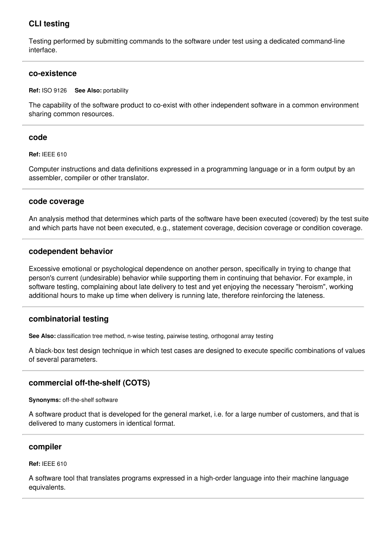# **CLI testing**

Testing performed by submitting commands to the software under test using a dedicated command-line interface.

## **co-existence**

#### **Ref:** ISO 9126 **See Also:** portability

The capability of the software product to co-exist with other independent software in a common environment sharing common resources.

## **code**

#### **Ref:** IEEE 610

Computer instructions and data definitions expressed in a programming language or in a form output by an assembler, compiler or other translator.

#### **code coverage**

An analysis method that determines which parts of the software have been executed (covered) by the test suite and which parts have not been executed, e.g., statement coverage, decision coverage or condition coverage.

## **codependent behavior**

Excessive emotional or psychological dependence on another person, specifically in trying to change that person's current (undesirable) behavior while supporting them in continuing that behavior. For example, in software testing, complaining about late delivery to test and yet enjoying the necessary "heroism", working additional hours to make up time when delivery is running late, therefore reinforcing the lateness.

## **combinatorial testing**

**See Also:** classification tree method, n-wise testing, pairwise testing, orthogonal array testing

A black-box test design technique in which test cases are designed to execute specific combinations of values of several parameters.

## **commercial off-the-shelf (COTS)**

**Synonyms:** off-the-shelf software

A software product that is developed for the general market, i.e. for a large number of customers, and that is delivered to many customers in identical format.

#### **compiler**

#### **Ref:** IEEE 610

A software tool that translates programs expressed in a high-order language into their machine language equivalents.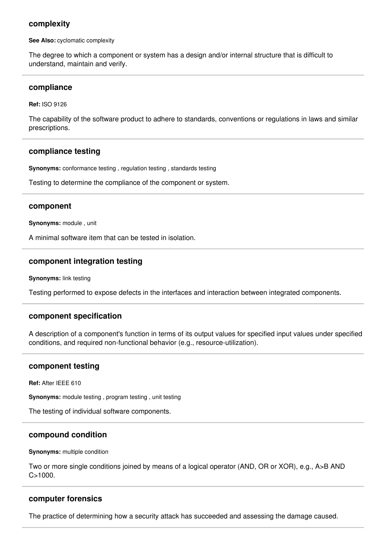## **complexity**

**See Also:** cyclomatic complexity

The degree to which a component or system has a design and/or internal structure that is difficult to understand, maintain and verify.

#### **compliance**

**Ref:** ISO 9126

The capability of the software product to adhere to standards, conventions or regulations in laws and similar prescriptions.

#### **compliance testing**

**Synonyms:** conformance testing , regulation testing , standards testing

Testing to determine the compliance of the component or system.

#### **component**

**Synonyms:** module , unit

A minimal software item that can be tested in isolation.

#### **component integration testing**

**Synonyms:** link testing

Testing performed to expose defects in the interfaces and interaction between integrated components.

#### **component specification**

A description of a component's function in terms of its output values for specified input values under specified conditions, and required non-functional behavior (e.g., resource-utilization).

#### **component testing**

**Ref:** After IEEE 610

**Synonyms:** module testing , program testing , unit testing

The testing of individual software components.

#### **compound condition**

**Synonyms:** multiple condition

Two or more single conditions joined by means of a logical operator (AND, OR or XOR), e.g., A>B AND  $C > 1000$ 

#### **computer forensics**

The practice of determining how a security attack has succeeded and assessing the damage caused.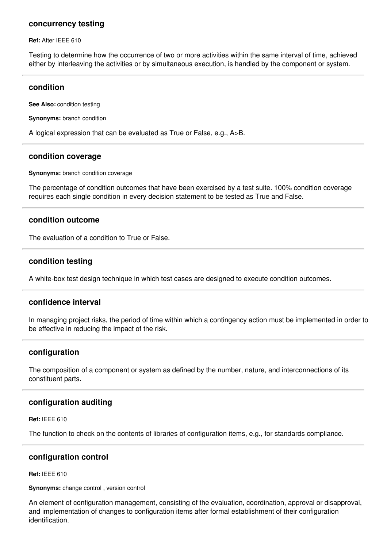#### **concurrency testing**

**Ref:** After IEEE 610

Testing to determine how the occurrence of two or more activities within the same interval of time, achieved either by interleaving the activities or by simultaneous execution, is handled by the component or system.

#### **condition**

**See Also:** condition testing

**Synonyms:** branch condition

A logical expression that can be evaluated as True or False, e.g., A>B.

#### **condition coverage**

**Synonyms:** branch condition coverage

The percentage of condition outcomes that have been exercised by a test suite. 100% condition coverage requires each single condition in every decision statement to be tested as True and False.

#### **condition outcome**

The evaluation of a condition to True or False.

#### **condition testing**

A white-box test design technique in which test cases are designed to execute condition outcomes.

#### **confidence interval**

In managing project risks, the period of time within which a contingency action must be implemented in order to be effective in reducing the impact of the risk.

#### **configuration**

The composition of a component or system as defined by the number, nature, and interconnections of its constituent parts.

## **configuration auditing**

**Ref:** IEEE 610

The function to check on the contents of libraries of configuration items, e.g., for standards compliance.

## **configuration control**

#### **Ref:** IEEE 610

**Synonyms:** change control , version control

An element of configuration management, consisting of the evaluation, coordination, approval or disapproval, and implementation of changes to configuration items after formal establishment of their configuration identification.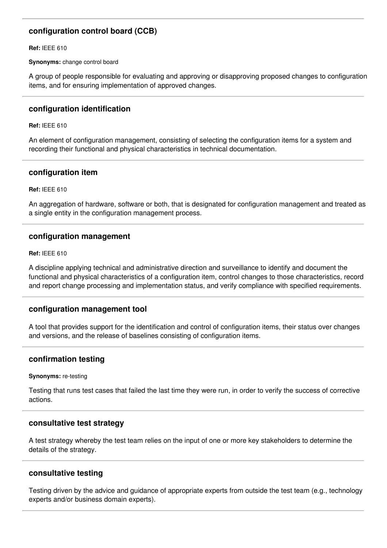# **configuration control board (CCB)**

**Ref:** IEEE 610

**Synonyms:** change control board

A group of people responsible for evaluating and approving or disapproving proposed changes to configuration items, and for ensuring implementation of approved changes.

## **configuration identification**

**Ref:** IEEE 610

An element of configuration management, consisting of selecting the configuration items for a system and recording their functional and physical characteristics in technical documentation.

## **configuration item**

**Ref:** IEEE 610

An aggregation of hardware, software or both, that is designated for configuration management and treated as a single entity in the configuration management process.

## **configuration management**

**Ref:** IEEE 610

A discipline applying technical and administrative direction and surveillance to identify and document the functional and physical characteristics of a configuration item, control changes to those characteristics, record and report change processing and implementation status, and verify compliance with specified requirements.

## **configuration management tool**

A tool that provides support for the identification and control of configuration items, their status over changes and versions, and the release of baselines consisting of configuration items.

# **confirmation testing**

#### **Synonyms:** re-testing

Testing that runs test cases that failed the last time they were run, in order to verify the success of corrective actions.

## **consultative test strategy**

A test strategy whereby the test team relies on the input of one or more key stakeholders to determine the details of the strategy.

## **consultative testing**

Testing driven by the advice and guidance of appropriate experts from outside the test team (e.g., technology experts and/or business domain experts).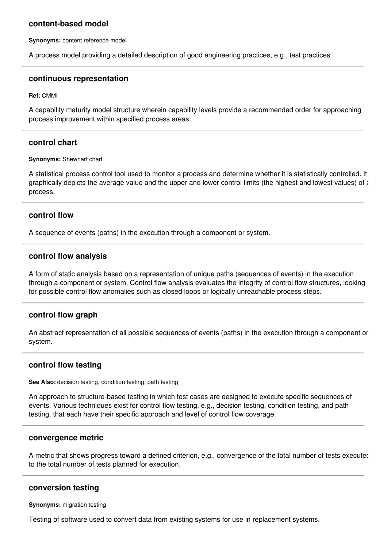## **content-based model**

**Synonyms:** content reference model

A process model providing a detailed description of good engineering practices, e.g., test practices.

#### **continuous representation**

**Ref:** CMMI

A capability maturity model structure wherein capability levels provide a recommended order for approaching process improvement within specified process areas.

#### **control chart**

#### **Synonyms:** Shewhart chart

A statistical process control tool used to monitor a process and determine whether it is statistically controlled. It graphically depicts the average value and the upper and lower control limits (the highest and lowest values) of a process.

#### **control flow**

A sequence of events (paths) in the execution through a component or system.

#### **control flow analysis**

A form of static analysis based on a representation of unique paths (sequences of events) in the execution through a component or system. Control flow analysis evaluates the integrity of control flow structures, looking for possible control flow anomalies such as closed loops or logically unreachable process steps.

#### **control flow graph**

An abstract representation of all possible sequences of events (paths) in the execution through a component or system.

#### **control flow testing**

**See Also:** decision testing, condition testing, path testing

An approach to structure-based testing in which test cases are designed to execute specific sequences of events. Various techniques exist for control flow testing, e.g., decision testing, condition testing, and path testing, that each have their specific approach and level of control flow coverage.

#### **convergence metric**

A metric that shows progress toward a defined criterion, e.g., convergence of the total number of tests executed to the total number of tests planned for execution.

#### **conversion testing**

**Synonyms:** migration testing

Testing of software used to convert data from existing systems for use in replacement systems.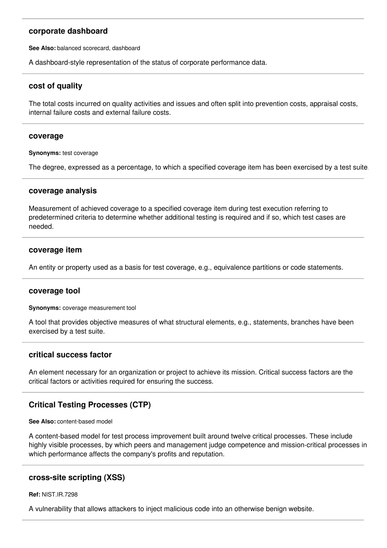## **corporate dashboard**

**See Also:** balanced scorecard, dashboard

A dashboard-style representation of the status of corporate performance data.

## **cost of quality**

The total costs incurred on quality activities and issues and often split into prevention costs, appraisal costs, internal failure costs and external failure costs.

#### **coverage**

**Synonyms:** test coverage

The degree, expressed as a percentage, to which a specified coverage item has been exercised by a test suite.

#### **coverage analysis**

Measurement of achieved coverage to a specified coverage item during test execution referring to predetermined criteria to determine whether additional testing is required and if so, which test cases are needed.

#### **coverage item**

An entity or property used as a basis for test coverage, e.g., equivalence partitions or code statements.

## **coverage tool**

**Synonyms:** coverage measurement tool

A tool that provides objective measures of what structural elements, e.g., statements, branches have been exercised by a test suite.

## **critical success factor**

An element necessary for an organization or project to achieve its mission. Critical success factors are the critical factors or activities required for ensuring the success.

## **Critical Testing Processes (CTP)**

**See Also:** content-based model

A content-based model for test process improvement built around twelve critical processes. These include highly visible processes, by which peers and management judge competence and mission-critical processes in which performance affects the company's profits and reputation.

## **cross-site scripting (XSS)**

**Ref:** NIST.IR.7298

A vulnerability that allows attackers to inject malicious code into an otherwise benign website.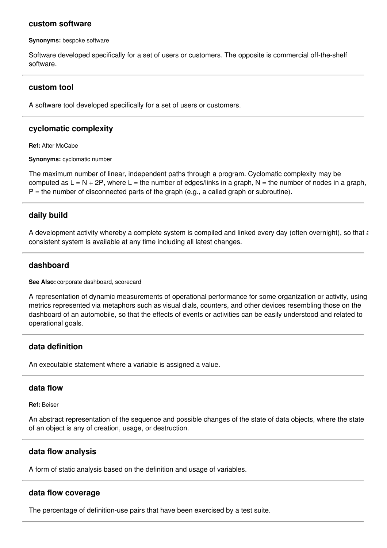#### **custom software**

**Synonyms:** bespoke software

Software developed specifically for a set of users or customers. The opposite is commercial off-the-shelf software.

#### **custom tool**

A software tool developed specifically for a set of users or customers.

## **cyclomatic complexity**

**Ref:** After McCabe

**Synonyms:** cyclomatic number

The maximum number of linear, independent paths through a program. Cyclomatic complexity may be computed as  $L = N + 2P$ , where  $L =$  the number of edges/links in a graph,  $N =$  the number of nodes in a graph,  $P =$  the number of disconnected parts of the graph (e.g., a called graph or subroutine).

#### **daily build**

A development activity whereby a complete system is compiled and linked every day (often overnight), so that a consistent system is available at any time including all latest changes.

#### **dashboard**

**See Also:** corporate dashboard, scorecard

A representation of dynamic measurements of operational performance for some organization or activity, using metrics represented via metaphors such as visual dials, counters, and other devices resembling those on the dashboard of an automobile, so that the effects of events or activities can be easily understood and related to operational goals.

## **data definition**

An executable statement where a variable is assigned a value.

## **data flow**

**Ref:** Beiser

An abstract representation of the sequence and possible changes of the state of data objects, where the state of an object is any of creation, usage, or destruction.

## **data flow analysis**

A form of static analysis based on the definition and usage of variables.

#### **data flow coverage**

The percentage of definition-use pairs that have been exercised by a test suite.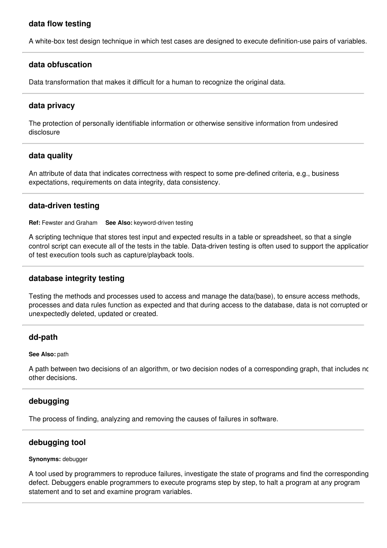# **data flow testing**

A white-box test design technique in which test cases are designed to execute definition-use pairs of variables.

#### **data obfuscation**

Data transformation that makes it difficult for a human to recognize the original data.

## **data privacy**

The protection of personally identifiable information or otherwise sensitive information from undesired disclosure

## **data quality**

An attribute of data that indicates correctness with respect to some pre-defined criteria, e.g., business expectations, requirements on data integrity, data consistency.

#### **data-driven testing**

**Ref:** Fewster and Graham **See Also:** keyword-driven testing

A scripting technique that stores test input and expected results in a table or spreadsheet, so that a single control script can execute all of the tests in the table. Data-driven testing is often used to support the application of test execution tools such as capture/playback tools.

#### **database integrity testing**

Testing the methods and processes used to access and manage the data(base), to ensure access methods, processes and data rules function as expected and that during access to the database, data is not corrupted or unexpectedly deleted, updated or created.

## **dd-path**

#### **See Also:** path

A path between two decisions of an algorithm, or two decision nodes of a corresponding graph, that includes no other decisions.

## **debugging**

The process of finding, analyzing and removing the causes of failures in software.

# **debugging tool**

#### **Synonyms:** debugger

A tool used by programmers to reproduce failures, investigate the state of programs and find the corresponding defect. Debuggers enable programmers to execute programs step by step, to halt a program at any program statement and to set and examine program variables.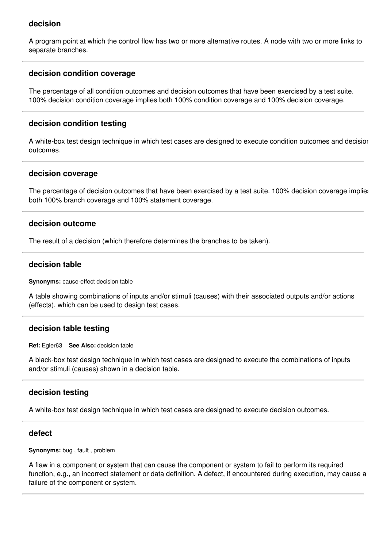# **decision**

A program point at which the control flow has two or more alternative routes. A node with two or more links to separate branches.

## **decision condition coverage**

The percentage of all condition outcomes and decision outcomes that have been exercised by a test suite. 100% decision condition coverage implies both 100% condition coverage and 100% decision coverage.

#### **decision condition testing**

A white-box test design technique in which test cases are designed to execute condition outcomes and decision outcomes.

#### **decision coverage**

The percentage of decision outcomes that have been exercised by a test suite. 100% decision coverage implies both 100% branch coverage and 100% statement coverage.

## **decision outcome**

The result of a decision (which therefore determines the branches to be taken).

#### **decision table**

**Synonyms:** cause-effect decision table

A table showing combinations of inputs and/or stimuli (causes) with their associated outputs and/or actions (effects), which can be used to design test cases.

## **decision table testing**

**Ref:** Egler63 **See Also:** decision table

A black-box test design technique in which test cases are designed to execute the combinations of inputs and/or stimuli (causes) shown in a decision table.

## **decision testing**

A white-box test design technique in which test cases are designed to execute decision outcomes.

#### **defect**

**Synonyms:** bug , fault , problem

A flaw in a component or system that can cause the component or system to fail to perform its required function, e.g., an incorrect statement or data definition. A defect, if encountered during execution, may cause a failure of the component or system.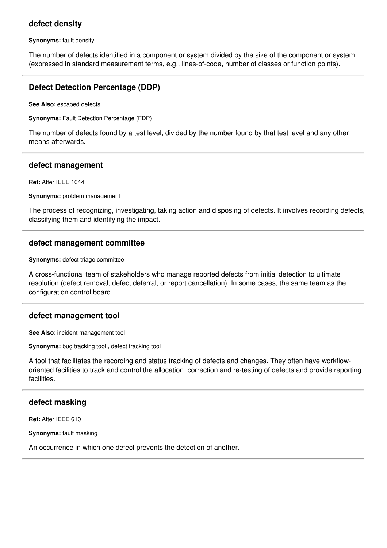# **defect density**

**Synonyms:** fault density

The number of defects identified in a component or system divided by the size of the component or system (expressed in standard measurement terms, e.g., lines-of-code, number of classes or function points).

# **Defect Detection Percentage (DDP)**

**See Also:** escaped defects

**Synonyms:** Fault Detection Percentage (FDP)

The number of defects found by a test level, divided by the number found by that test level and any other means afterwards.

#### **defect management**

**Ref:** After IEEE 1044

**Synonyms:** problem management

The process of recognizing, investigating, taking action and disposing of defects. It involves recording defects, classifying them and identifying the impact.

## **defect management committee**

**Synonyms:** defect triage committee

A cross-functional team of stakeholders who manage reported defects from initial detection to ultimate resolution (defect removal, defect deferral, or report cancellation). In some cases, the same team as the configuration control board.

## **defect management tool**

**See Also:** incident management tool

**Synonyms:** bug tracking tool , defect tracking tool

A tool that facilitates the recording and status tracking of defects and changes. They often have workfloworiented facilities to track and control the allocation, correction and re-testing of defects and provide reporting facilities.

## **defect masking**

**Ref:** After IEEE 610

**Synonyms:** fault masking

An occurrence in which one defect prevents the detection of another.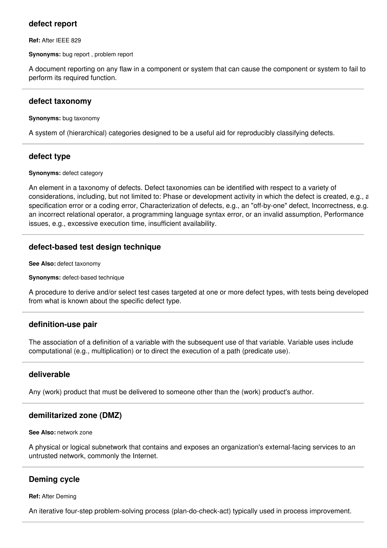# **defect report**

**Ref:** After IEEE 829

**Synonyms:** bug report , problem report

A document reporting on any flaw in a component or system that can cause the component or system to fail to perform its required function.

## **defect taxonomy**

**Synonyms:** bug taxonomy

A system of (hierarchical) categories designed to be a useful aid for reproducibly classifying defects.

# **defect type**

**Synonyms:** defect category

An element in a taxonomy of defects. Defect taxonomies can be identified with respect to a variety of considerations, including, but not limited to: Phase or development activity in which the defect is created, e.g., a specification error or a coding error, Characterization of defects, e.g., an "off-by-one" defect, Incorrectness, e.g., an incorrect relational operator, a programming language syntax error, or an invalid assumption, Performance issues, e.g., excessive execution time, insufficient availability.

# **defect-based test design technique**

**See Also:** defect taxonomy

**Synonyms:** defect-based technique

A procedure to derive and/or select test cases targeted at one or more defect types, with tests being developed from what is known about the specific defect type.

# **definition-use pair**

The association of a definition of a variable with the subsequent use of that variable. Variable uses include computational (e.g., multiplication) or to direct the execution of a path (predicate use).

# **deliverable**

Any (work) product that must be delivered to someone other than the (work) product's author.

# **demilitarized zone (DMZ)**

**See Also:** network zone

A physical or logical subnetwork that contains and exposes an organization's external-facing services to an untrusted network, commonly the Internet.

# **Deming cycle**

**Ref:** After Deming

An iterative four-step problem-solving process (plan-do-check-act) typically used in process improvement.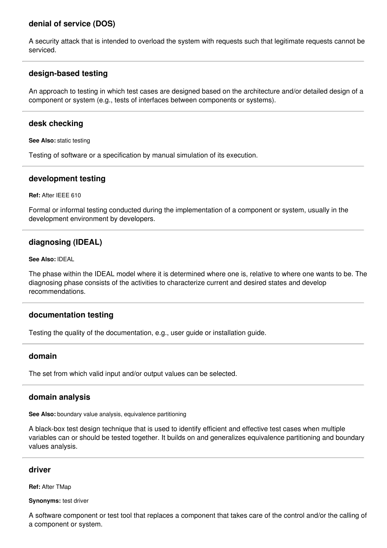# **denial of service (DOS)**

A security attack that is intended to overload the system with requests such that legitimate requests cannot be serviced.

# **design-based testing**

An approach to testing in which test cases are designed based on the architecture and/or detailed design of a component or system (e.g., tests of interfaces between components or systems).

## **desk checking**

**See Also:** static testing

Testing of software or a specification by manual simulation of its execution.

## **development testing**

**Ref:** After IEEE 610

Formal or informal testing conducted during the implementation of a component or system, usually in the development environment by developers.

# **diagnosing (IDEAL)**

**See Also:** IDEAL

The phase within the IDEAL model where it is determined where one is, relative to where one wants to be. The diagnosing phase consists of the activities to characterize current and desired states and develop recommendations.

# **documentation testing**

Testing the quality of the documentation, e.g., user guide or installation guide.

## **domain**

The set from which valid input and/or output values can be selected.

## **domain analysis**

**See Also:** boundary value analysis, equivalence partitioning

A black-box test design technique that is used to identify efficient and effective test cases when multiple variables can or should be tested together. It builds on and generalizes equivalence partitioning and boundary values analysis.

## **driver**

**Ref:** After TMap

**Synonyms:** test driver

A software component or test tool that replaces a component that takes care of the control and/or the calling of a component or system.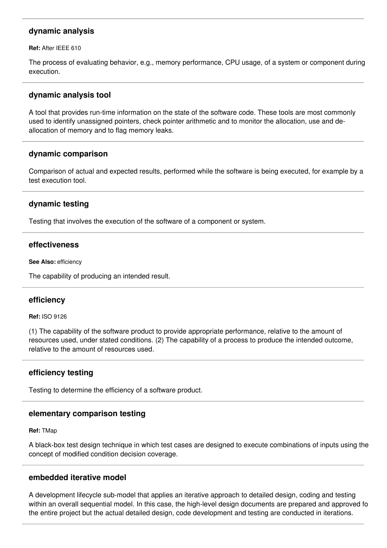# **dynamic analysis**

**Ref:** After IEEE 610

The process of evaluating behavior, e.g., memory performance, CPU usage, of a system or component during execution.

## **dynamic analysis tool**

A tool that provides run-time information on the state of the software code. These tools are most commonly used to identify unassigned pointers, check pointer arithmetic and to monitor the allocation, use and deallocation of memory and to flag memory leaks.

## **dynamic comparison**

Comparison of actual and expected results, performed while the software is being executed, for example by a test execution tool.

## **dynamic testing**

Testing that involves the execution of the software of a component or system.

#### **effectiveness**

**See Also:** efficiency

The capability of producing an intended result.

#### **efficiency**

#### **Ref:** ISO 9126

(1) The capability of the software product to provide appropriate performance, relative to the amount of resources used, under stated conditions. (2) The capability of a process to produce the intended outcome, relative to the amount of resources used.

#### **efficiency testing**

Testing to determine the efficiency of a software product.

#### **elementary comparison testing**

**Ref:** TMap

A black-box test design technique in which test cases are designed to execute combinations of inputs using the concept of modified condition decision coverage.

#### **embedded iterative model**

A development lifecycle sub-model that applies an iterative approach to detailed design, coding and testing within an overall sequential model. In this case, the high-level design documents are prepared and approved for the entire project but the actual detailed design, code development and testing are conducted in iterations.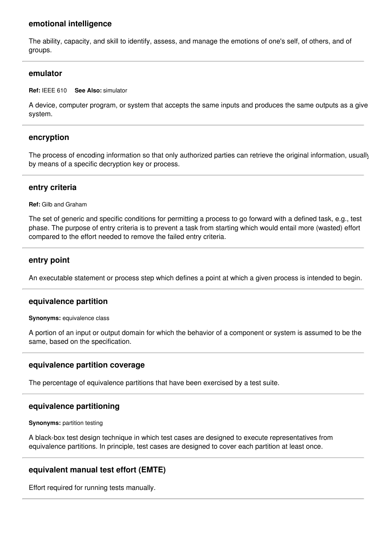## **emotional intelligence**

The ability, capacity, and skill to identify, assess, and manage the emotions of one's self, of others, and of groups.

#### **emulator**

**Ref:** IEEE 610 **See Also:** simulator

A device, computer program, or system that accepts the same inputs and produces the same outputs as a given system.

## **encryption**

The process of encoding information so that only authorized parties can retrieve the original information, usually by means of a specific decryption key or process.

#### **entry criteria**

**Ref:** Gilb and Graham

The set of generic and specific conditions for permitting a process to go forward with a defined task, e.g., test phase. The purpose of entry criteria is to prevent a task from starting which would entail more (wasted) effort compared to the effort needed to remove the failed entry criteria.

#### **entry point**

An executable statement or process step which defines a point at which a given process is intended to begin.

#### **equivalence partition**

**Synonyms:** equivalence class

A portion of an input or output domain for which the behavior of a component or system is assumed to be the same, based on the specification.

## **equivalence partition coverage**

The percentage of equivalence partitions that have been exercised by a test suite.

#### **equivalence partitioning**

**Synonyms:** partition testing

A black-box test design technique in which test cases are designed to execute representatives from equivalence partitions. In principle, test cases are designed to cover each partition at least once.

# **equivalent manual test effort (EMTE)**

Effort required for running tests manually.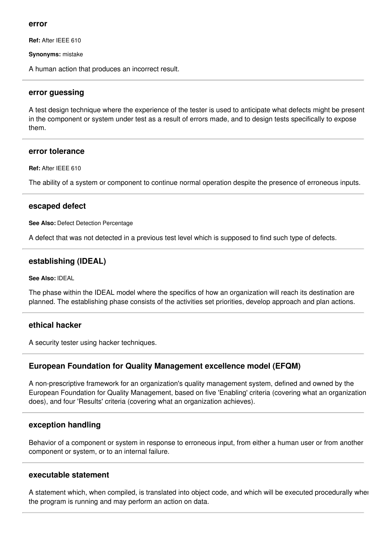#### **error**

**Ref:** After IEEE 610

**Synonyms:** mistake

A human action that produces an incorrect result.

#### **error guessing**

A test design technique where the experience of the tester is used to anticipate what defects might be present in the component or system under test as a result of errors made, and to design tests specifically to expose them.

#### **error tolerance**

**Ref:** After IEEE 610

The ability of a system or component to continue normal operation despite the presence of erroneous inputs.

## **escaped defect**

**See Also:** Defect Detection Percentage

A defect that was not detected in a previous test level which is supposed to find such type of defects.

## **establishing (IDEAL)**

#### **See Also:** IDEAL

The phase within the IDEAL model where the specifics of how an organization will reach its destination are planned. The establishing phase consists of the activities set priorities, develop approach and plan actions.

# **ethical hacker**

A security tester using hacker techniques.

## **European Foundation for Quality Management excellence model (EFQM)**

A non-prescriptive framework for an organization's quality management system, defined and owned by the European Foundation for Quality Management, based on five 'Enabling' criteria (covering what an organization does), and four 'Results' criteria (covering what an organization achieves).

## **exception handling**

Behavior of a component or system in response to erroneous input, from either a human user or from another component or system, or to an internal failure.

#### **executable statement**

A statement which, when compiled, is translated into object code, and which will be executed procedurally when the program is running and may perform an action on data.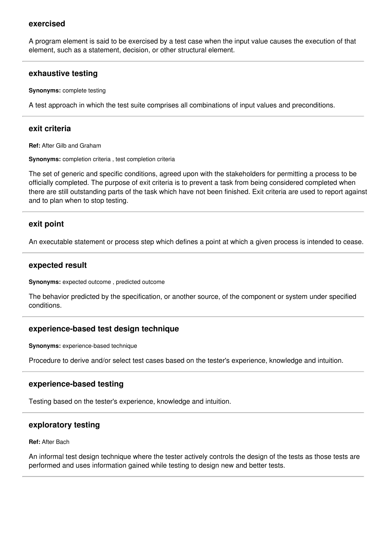## **exercised**

A program element is said to be exercised by a test case when the input value causes the execution of that element, such as a statement, decision, or other structural element.

#### **exhaustive testing**

**Synonyms:** complete testing

A test approach in which the test suite comprises all combinations of input values and preconditions.

#### **exit criteria**

**Ref:** After Gilb and Graham

**Synonyms:** completion criteria , test completion criteria

The set of generic and specific conditions, agreed upon with the stakeholders for permitting a process to be officially completed. The purpose of exit criteria is to prevent a task from being considered completed when there are still outstanding parts of the task which have not been finished. Exit criteria are used to report against and to plan when to stop testing.

#### **exit point**

An executable statement or process step which defines a point at which a given process is intended to cease.

#### **expected result**

**Synonyms:** expected outcome , predicted outcome

The behavior predicted by the specification, or another source, of the component or system under specified conditions.

#### **experience-based test design technique**

**Synonyms:** experience-based technique

Procedure to derive and/or select test cases based on the tester's experience, knowledge and intuition.

#### **experience-based testing**

Testing based on the tester's experience, knowledge and intuition.

#### **exploratory testing**

**Ref:** After Bach

An informal test design technique where the tester actively controls the design of the tests as those tests are performed and uses information gained while testing to design new and better tests.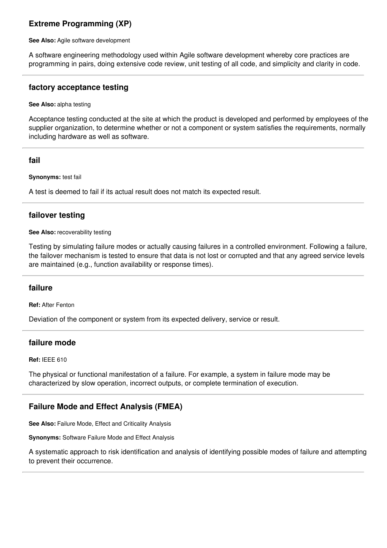# **Extreme Programming (XP)**

**See Also:** Agile software development

A software engineering methodology used within Agile software development whereby core practices are programming in pairs, doing extensive code review, unit testing of all code, and simplicity and clarity in code.

#### **factory acceptance testing**

**See Also:** alpha testing

Acceptance testing conducted at the site at which the product is developed and performed by employees of the supplier organization, to determine whether or not a component or system satisfies the requirements, normally including hardware as well as software.

## **fail**

**Synonyms:** test fail

A test is deemed to fail if its actual result does not match its expected result.

## **failover testing**

#### **See Also:** recoverability testing

Testing by simulating failure modes or actually causing failures in a controlled environment. Following a failure, the failover mechanism is tested to ensure that data is not lost or corrupted and that any agreed service levels are maintained (e.g., function availability or response times).

## **failure**

**Ref:** After Fenton

Deviation of the component or system from its expected delivery, service or result.

#### **failure mode**

**Ref:** IEEE 610

The physical or functional manifestation of a failure. For example, a system in failure mode may be characterized by slow operation, incorrect outputs, or complete termination of execution.

# **Failure Mode and Effect Analysis (FMEA)**

**See Also:** Failure Mode, Effect and Criticality Analysis

**Synonyms:** Software Failure Mode and Effect Analysis

A systematic approach to risk identification and analysis of identifying possible modes of failure and attempting to prevent their occurrence.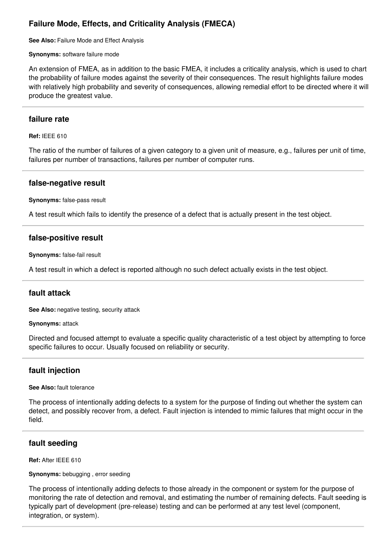# **Failure Mode, Effects, and Criticality Analysis (FMECA)**

**See Also:** Failure Mode and Effect Analysis

**Synonyms:** software failure mode

An extension of FMEA, as in addition to the basic FMEA, it includes a criticality analysis, which is used to chart the probability of failure modes against the severity of their consequences. The result highlights failure modes with relatively high probability and severity of consequences, allowing remedial effort to be directed where it will produce the greatest value.

## **failure rate**

**Ref:** IEEE 610

The ratio of the number of failures of a given category to a given unit of measure, e.g., failures per unit of time, failures per number of transactions, failures per number of computer runs.

## **false-negative result**

**Synonyms:** false-pass result

A test result which fails to identify the presence of a defect that is actually present in the test object.

## **false-positive result**

**Synonyms:** false-fail result

A test result in which a defect is reported although no such defect actually exists in the test object.

# **fault attack**

**See Also:** negative testing, security attack

**Synonyms:** attack

Directed and focused attempt to evaluate a specific quality characteristic of a test object by attempting to force specific failures to occur. Usually focused on reliability or security.

# **fault injection**

**See Also:** fault tolerance

The process of intentionally adding defects to a system for the purpose of finding out whether the system can detect, and possibly recover from, a defect. Fault injection is intended to mimic failures that might occur in the field.

# **fault seeding**

**Ref:** After IEEE 610

**Synonyms:** bebugging , error seeding

The process of intentionally adding defects to those already in the component or system for the purpose of monitoring the rate of detection and removal, and estimating the number of remaining defects. Fault seeding is typically part of development (pre-release) testing and can be performed at any test level (component, integration, or system).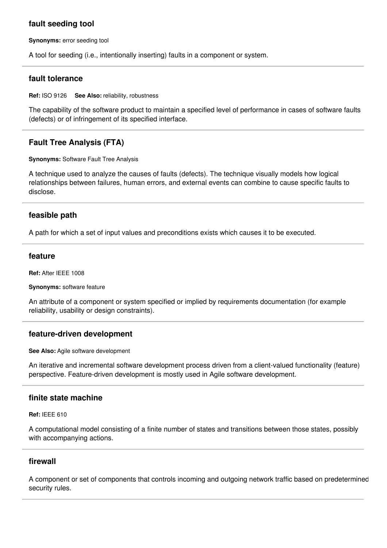# **fault seeding tool**

**Synonyms:** error seeding tool

A tool for seeding (i.e., intentionally inserting) faults in a component or system.

## **fault tolerance**

**Ref:** ISO 9126 **See Also:** reliability, robustness

The capability of the software product to maintain a specified level of performance in cases of software faults (defects) or of infringement of its specified interface.

# **Fault Tree Analysis (FTA)**

**Synonyms:** Software Fault Tree Analysis

A technique used to analyze the causes of faults (defects). The technique visually models how logical relationships between failures, human errors, and external events can combine to cause specific faults to disclose.

## **feasible path**

A path for which a set of input values and preconditions exists which causes it to be executed.

## **feature**

**Ref:** After IEEE 1008

**Synonyms:** software feature

An attribute of a component or system specified or implied by requirements documentation (for example reliability, usability or design constraints).

## **feature-driven development**

**See Also:** Agile software development

An iterative and incremental software development process driven from a client-valued functionality (feature) perspective. Feature-driven development is mostly used in Agile software development.

# **finite state machine**

**Ref:** IEEE 610

A computational model consisting of a finite number of states and transitions between those states, possibly with accompanying actions.

## **firewall**

A component or set of components that controls incoming and outgoing network traffic based on predetermined security rules.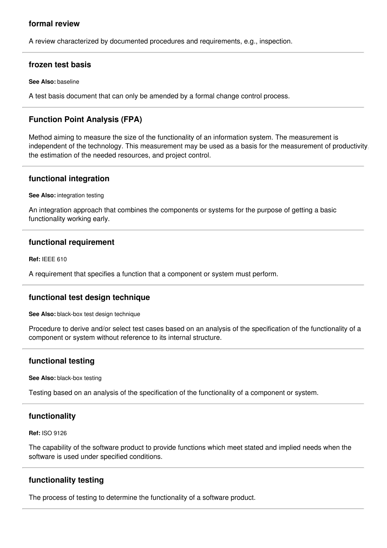# **formal review**

A review characterized by documented procedures and requirements, e.g., inspection.

## **frozen test basis**

**See Also:** baseline

A test basis document that can only be amended by a formal change control process.

# **Function Point Analysis (FPA)**

Method aiming to measure the size of the functionality of an information system. The measurement is independent of the technology. This measurement may be used as a basis for the measurement of productivity, the estimation of the needed resources, and project control.

## **functional integration**

**See Also:** integration testing

An integration approach that combines the components or systems for the purpose of getting a basic functionality working early.

## **functional requirement**

**Ref:** IEEE 610

A requirement that specifies a function that a component or system must perform.

# **functional test design technique**

**See Also:** black-box test design technique

Procedure to derive and/or select test cases based on an analysis of the specification of the functionality of a component or system without reference to its internal structure.

# **functional testing**

**See Also:** black-box testing

Testing based on an analysis of the specification of the functionality of a component or system.

## **functionality**

**Ref:** ISO 9126

The capability of the software product to provide functions which meet stated and implied needs when the software is used under specified conditions.

# **functionality testing**

The process of testing to determine the functionality of a software product.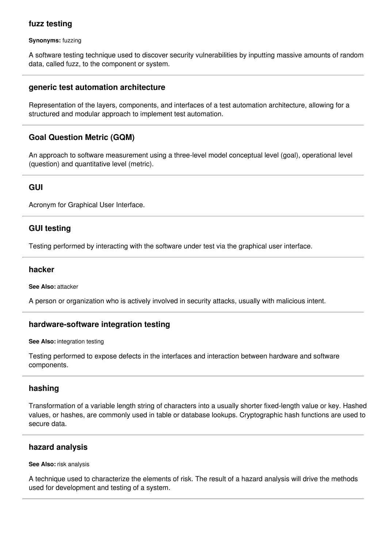# **fuzz testing**

**Synonyms:** fuzzing

A software testing technique used to discover security vulnerabilities by inputting massive amounts of random data, called fuzz, to the component or system.

## **generic test automation architecture**

Representation of the layers, components, and interfaces of a test automation architecture, allowing for a structured and modular approach to implement test automation.

# **Goal Question Metric (GQM)**

An approach to software measurement using a three-level model conceptual level (goal), operational level (question) and quantitative level (metric).

# **GUI**

Acronym for Graphical User Interface.

# **GUI testing**

Testing performed by interacting with the software under test via the graphical user interface.

#### **hacker**

**See Also:** attacker

A person or organization who is actively involved in security attacks, usually with malicious intent.

## **hardware-software integration testing**

**See Also:** integration testing

Testing performed to expose defects in the interfaces and interaction between hardware and software components.

# **hashing**

Transformation of a variable length string of characters into a usually shorter fixed-length value or key. Hashed values, or hashes, are commonly used in table or database lookups. Cryptographic hash functions are used to secure data.

## **hazard analysis**

**See Also:** risk analysis

A technique used to characterize the elements of risk. The result of a hazard analysis will drive the methods used for development and testing of a system.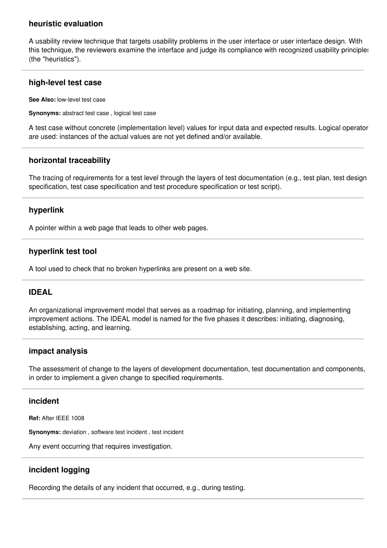# **heuristic evaluation**

A usability review technique that targets usability problems in the user interface or user interface design. With this technique, the reviewers examine the interface and judge its compliance with recognized usability principles (the "heuristics").

# **high-level test case**

**See Also:** low-level test case

**Synonyms:** abstract test case , logical test case

A test case without concrete (implementation level) values for input data and expected results. Logical operators are used: instances of the actual values are not yet defined and/or available.

# **horizontal traceability**

The tracing of requirements for a test level through the layers of test documentation (e.g., test plan, test design specification, test case specification and test procedure specification or test script).

## **hyperlink**

A pointer within a web page that leads to other web pages.

# **hyperlink test tool**

A tool used to check that no broken hyperlinks are present on a web site.

# **IDEAL**

An organizational improvement model that serves as a roadmap for initiating, planning, and implementing improvement actions. The IDEAL model is named for the five phases it describes: initiating, diagnosing, establishing, acting, and learning.

## **impact analysis**

The assessment of change to the layers of development documentation, test documentation and components, in order to implement a given change to specified requirements.

## **incident**

**Ref:** After IEEE 1008

**Synonyms:** deviation , software test incident , test incident

Any event occurring that requires investigation.

# **incident logging**

Recording the details of any incident that occurred, e.g., during testing.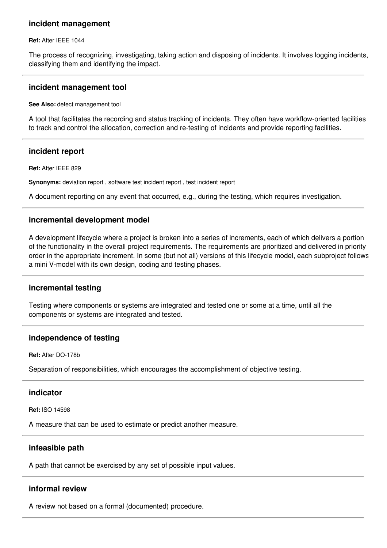## **incident management**

#### **Ref:** After IEEE 1044

The process of recognizing, investigating, taking action and disposing of incidents. It involves logging incidents, classifying them and identifying the impact.

#### **incident management tool**

#### **See Also:** defect management tool

A tool that facilitates the recording and status tracking of incidents. They often have workflow-oriented facilities to track and control the allocation, correction and re-testing of incidents and provide reporting facilities.

## **incident report**

**Ref:** After IEEE 829

**Synonyms:** deviation report , software test incident report , test incident report

A document reporting on any event that occurred, e.g., during the testing, which requires investigation.

## **incremental development model**

A development lifecycle where a project is broken into a series of increments, each of which delivers a portion of the functionality in the overall project requirements. The requirements are prioritized and delivered in priority order in the appropriate increment. In some (but not all) versions of this lifecycle model, each subproject follows a mini V-model with its own design, coding and testing phases.

# **incremental testing**

Testing where components or systems are integrated and tested one or some at a time, until all the components or systems are integrated and tested.

## **independence of testing**

**Ref:** After DO-178b

Separation of responsibilities, which encourages the accomplishment of objective testing.

## **indicator**

**Ref:** ISO 14598

A measure that can be used to estimate or predict another measure.

## **infeasible path**

A path that cannot be exercised by any set of possible input values.

## **informal review**

A review not based on a formal (documented) procedure.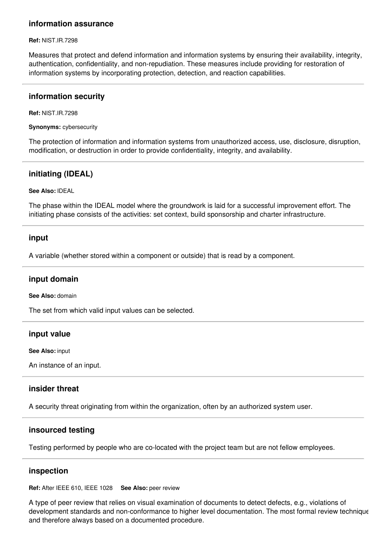# **information assurance**

#### **Ref:** NIST.IR.7298

Measures that protect and defend information and information systems by ensuring their availability, integrity, authentication, confidentiality, and non-repudiation. These measures include providing for restoration of information systems by incorporating protection, detection, and reaction capabilities.

## **information security**

**Ref:** NIST.IR.7298

**Synonyms:** cybersecurity

The protection of information and information systems from unauthorized access, use, disclosure, disruption, modification, or destruction in order to provide confidentiality, integrity, and availability.

# **initiating (IDEAL)**

#### **See Also:** IDEAL

The phase within the IDEAL model where the groundwork is laid for a successful improvement effort. The initiating phase consists of the activities: set context, build sponsorship and charter infrastructure.

## **input**

A variable (whether stored within a component or outside) that is read by a component.

## **input domain**

**See Also:** domain

The set from which valid input values can be selected.

## **input value**

**See Also:** input

An instance of an input.

# **insider threat**

A security threat originating from within the organization, often by an authorized system user.

# **insourced testing**

Testing performed by people who are co-located with the project team but are not fellow employees.

## **inspection**

**Ref:** After IEEE 610, IEEE 1028 **See Also:** peer review

A type of peer review that relies on visual examination of documents to detect defects, e.g., violations of development standards and non-conformance to higher level documentation. The most formal review technique and therefore always based on a documented procedure.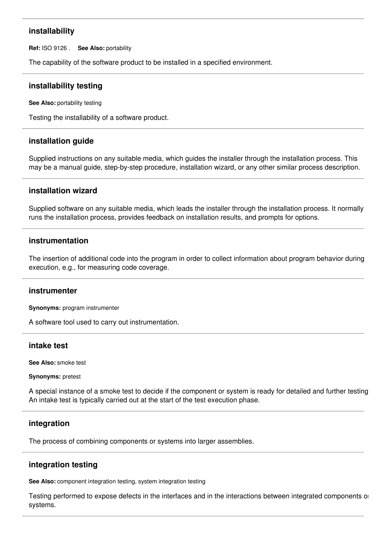# **installability**

**Ref:** ISO 9126 . **See Also:** portability

The capability of the software product to be installed in a specified environment.

# **installability testing**

**See Also:** portability testing

Testing the installability of a software product.

## **installation guide**

Supplied instructions on any suitable media, which guides the installer through the installation process. This may be a manual guide, step-by-step procedure, installation wizard, or any other similar process description.

## **installation wizard**

Supplied software on any suitable media, which leads the installer through the installation process. It normally runs the installation process, provides feedback on installation results, and prompts for options.

## **instrumentation**

The insertion of additional code into the program in order to collect information about program behavior during execution, e.g., for measuring code coverage.

## **instrumenter**

**Synonyms:** program instrumenter

A software tool used to carry out instrumentation.

## **intake test**

**See Also:** smoke test

**Synonyms:** pretest

A special instance of a smoke test to decide if the component or system is ready for detailed and further testing. An intake test is typically carried out at the start of the test execution phase.

# **integration**

The process of combining components or systems into larger assemblies.

# **integration testing**

**See Also:** component integration testing, system integration testing

Testing performed to expose defects in the interfaces and in the interactions between integrated components or systems.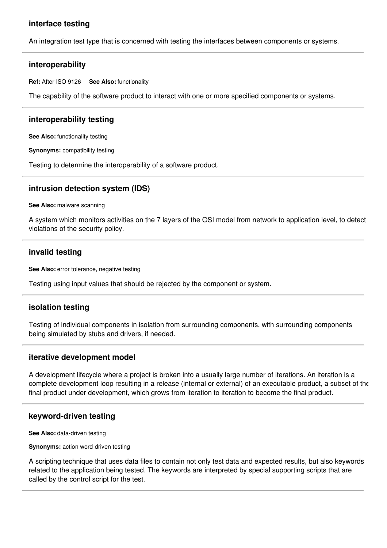# **interface testing**

An integration test type that is concerned with testing the interfaces between components or systems.

#### **interoperability**

**Ref:** After ISO 9126 **See Also:** functionality

The capability of the software product to interact with one or more specified components or systems.

## **interoperability testing**

**See Also:** functionality testing

**Synonyms:** compatibility testing

Testing to determine the interoperability of a software product.

#### **intrusion detection system (IDS)**

**See Also:** malware scanning

A system which monitors activities on the 7 layers of the OSI model from network to application level, to detect violations of the security policy.

## **invalid testing**

**See Also:** error tolerance, negative testing

Testing using input values that should be rejected by the component or system.

## **isolation testing**

Testing of individual components in isolation from surrounding components, with surrounding components being simulated by stubs and drivers, if needed.

#### **iterative development model**

A development lifecycle where a project is broken into a usually large number of iterations. An iteration is a complete development loop resulting in a release (internal or external) of an executable product, a subset of the final product under development, which grows from iteration to iteration to become the final product.

## **keyword-driven testing**

**See Also:** data-driven testing

**Synonyms:** action word-driven testing

A scripting technique that uses data files to contain not only test data and expected results, but also keywords related to the application being tested. The keywords are interpreted by special supporting scripts that are called by the control script for the test.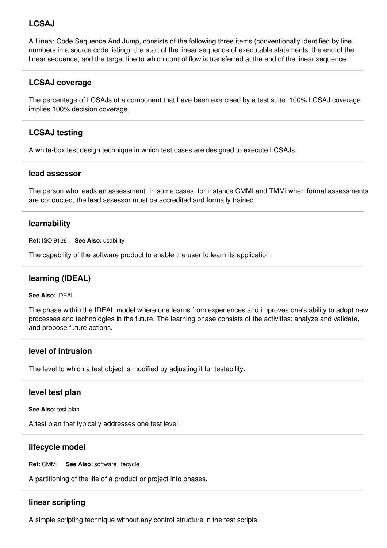# **LCSAJ**

A Linear Code Sequence And Jump, consists of the following three items (conventionally identified by line numbers in a source code listing): the start of the linear sequence of executable statements, the end of the linear sequence, and the target line to which control flow is transferred at the end of the linear sequence.

# **LCSAJ coverage**

The percentage of LCSAJs of a component that have been exercised by a test suite. 100% LCSAJ coverage implies 100% decision coverage.

# **LCSAJ testing**

A white-box test design technique in which test cases are designed to execute LCSAJs.

### **lead assessor**

The person who leads an assessment. In some cases, for instance CMMI and TMMi when formal assessments are conducted, the lead assessor must be accredited and formally trained.

## **learnability**

**Ref:** ISO 9126 **See Also:** usability

The capability of the software product to enable the user to learn its application.

## **learning (IDEAL)**

**See Also:** IDEAL

The phase within the IDEAL model where one learns from experiences and improves one's ability to adopt new processes and technologies in the future. The learning phase consists of the activities: analyze and validate, and propose future actions.

## **level of intrusion**

The level to which a test object is modified by adjusting it for testability.

## **level test plan**

**See Also:** test plan

A test plan that typically addresses one test level.

## **lifecycle model**

**Ref:** CMMI **See Also:** software lifecycle

A partitioning of the life of a product or project into phases.

# **linear scripting**

A simple scripting technique without any control structure in the test scripts.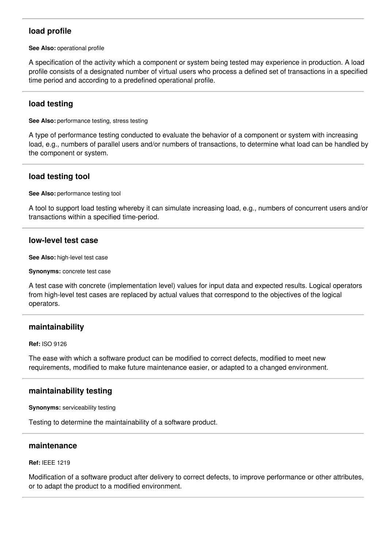# **load profile**

**See Also:** operational profile

A specification of the activity which a component or system being tested may experience in production. A load profile consists of a designated number of virtual users who process a defined set of transactions in a specified time period and according to a predefined operational profile.

## **load testing**

**See Also:** performance testing, stress testing

A type of performance testing conducted to evaluate the behavior of a component or system with increasing load, e.g., numbers of parallel users and/or numbers of transactions, to determine what load can be handled by the component or system.

## **load testing tool**

**See Also:** performance testing tool

A tool to support load testing whereby it can simulate increasing load, e.g., numbers of concurrent users and/or transactions within a specified time-period.

## **low-level test case**

**See Also:** high-level test case

**Synonyms:** concrete test case

A test case with concrete (implementation level) values for input data and expected results. Logical operators from high-level test cases are replaced by actual values that correspond to the objectives of the logical operators.

## **maintainability**

**Ref:** ISO 9126

The ease with which a software product can be modified to correct defects, modified to meet new requirements, modified to make future maintenance easier, or adapted to a changed environment.

## **maintainability testing**

**Synonyms:** serviceability testing

Testing to determine the maintainability of a software product.

### **maintenance**

#### **Ref:** IEEE 1219

Modification of a software product after delivery to correct defects, to improve performance or other attributes, or to adapt the product to a modified environment.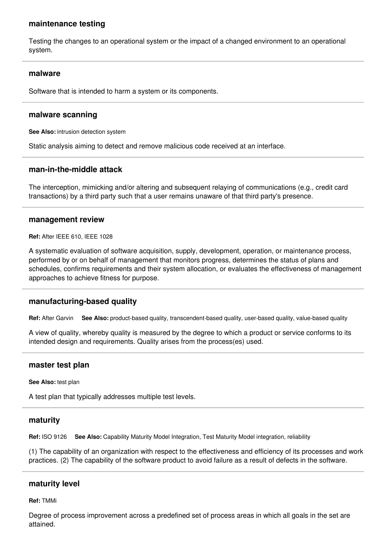## **maintenance testing**

Testing the changes to an operational system or the impact of a changed environment to an operational system.

### **malware**

Software that is intended to harm a system or its components.

### **malware scanning**

**See Also:** intrusion detection system

Static analysis aiming to detect and remove malicious code received at an interface.

### **man-in-the-middle attack**

The interception, mimicking and/or altering and subsequent relaying of communications (e.g., credit card transactions) by a third party such that a user remains unaware of that third party's presence.

### **management review**

**Ref:** After IEEE 610, IEEE 1028

A systematic evaluation of software acquisition, supply, development, operation, or maintenance process, performed by or on behalf of management that monitors progress, determines the status of plans and schedules, confirms requirements and their system allocation, or evaluates the effectiveness of management approaches to achieve fitness for purpose.

## **manufacturing-based quality**

**Ref:** After Garvin **See Also:** product-based quality, transcendent-based quality, user-based quality, value-based quality

A view of quality, whereby quality is measured by the degree to which a product or service conforms to its intended design and requirements. Quality arises from the process(es) used.

### **master test plan**

#### **See Also:** test plan

A test plan that typically addresses multiple test levels.

### **maturity**

**Ref:** ISO 9126 **See Also:** Capability Maturity Model Integration, Test Maturity Model integration, reliability

(1) The capability of an organization with respect to the effectiveness and efficiency of its processes and work practices. (2) The capability of the software product to avoid failure as a result of defects in the software.

## **maturity level**

**Ref:** TMMi

Degree of process improvement across a predefined set of process areas in which all goals in the set are attained.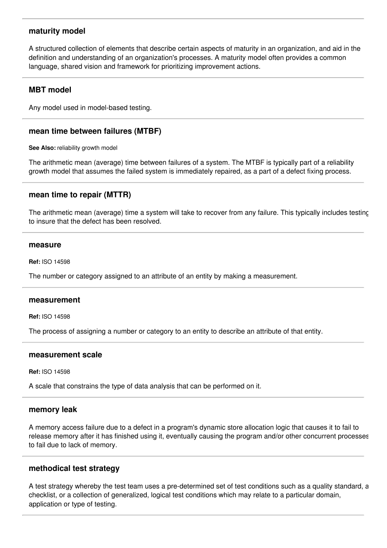## **maturity model**

A structured collection of elements that describe certain aspects of maturity in an organization, and aid in the definition and understanding of an organization's processes. A maturity model often provides a common language, shared vision and framework for prioritizing improvement actions.

## **MBT model**

Any model used in model-based testing.

## **mean time between failures (MTBF)**

**See Also:** reliability growth model

The arithmetic mean (average) time between failures of a system. The MTBF is typically part of a reliability growth model that assumes the failed system is immediately repaired, as a part of a defect fixing process.

## **mean time to repair (MTTR)**

The arithmetic mean (average) time a system will take to recover from any failure. This typically includes testing to insure that the defect has been resolved.

#### **measure**

**Ref:** ISO 14598

The number or category assigned to an attribute of an entity by making a measurement.

### **measurement**

**Ref:** ISO 14598

The process of assigning a number or category to an entity to describe an attribute of that entity.

### **measurement scale**

**Ref:** ISO 14598

A scale that constrains the type of data analysis that can be performed on it.

### **memory leak**

A memory access failure due to a defect in a program's dynamic store allocation logic that causes it to fail to release memory after it has finished using it, eventually causing the program and/or other concurrent processes to fail due to lack of memory.

## **methodical test strategy**

A test strategy whereby the test team uses a pre-determined set of test conditions such as a quality standard, a checklist, or a collection of generalized, logical test conditions which may relate to a particular domain, application or type of testing.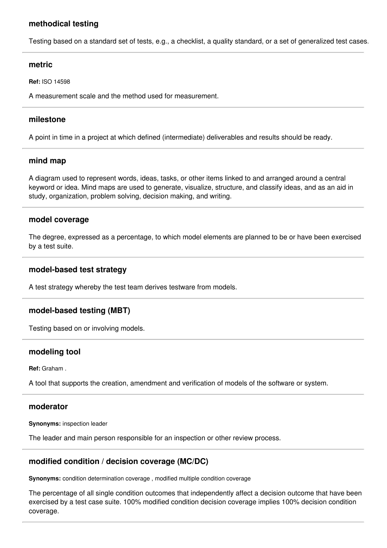# **methodical testing**

Testing based on a standard set of tests, e.g., a checklist, a quality standard, or a set of generalized test cases.

### **metric**

**Ref:** ISO 14598

A measurement scale and the method used for measurement.

## **milestone**

A point in time in a project at which defined (intermediate) deliverables and results should be ready.

## **mind map**

A diagram used to represent words, ideas, tasks, or other items linked to and arranged around a central keyword or idea. Mind maps are used to generate, visualize, structure, and classify ideas, and as an aid in study, organization, problem solving, decision making, and writing.

## **model coverage**

The degree, expressed as a percentage, to which model elements are planned to be or have been exercised by a test suite.

## **model-based test strategy**

A test strategy whereby the test team derives testware from models.

# **model-based testing (MBT)**

Testing based on or involving models.

## **modeling tool**

**Ref:** Graham .

A tool that supports the creation, amendment and verification of models of the software or system.

## **moderator**

**Synonyms:** inspection leader

The leader and main person responsible for an inspection or other review process.

# **modified condition / decision coverage (MC/DC)**

**Synonyms:** condition determination coverage , modified multiple condition coverage

The percentage of all single condition outcomes that independently affect a decision outcome that have been exercised by a test case suite. 100% modified condition decision coverage implies 100% decision condition coverage.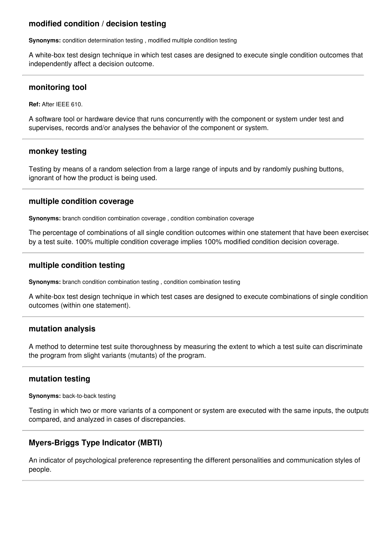# **modified condition / decision testing**

**Synonyms:** condition determination testing, modified multiple condition testing

A white-box test design technique in which test cases are designed to execute single condition outcomes that independently affect a decision outcome.

### **monitoring tool**

**Ref:** After IEEE 610.

A software tool or hardware device that runs concurrently with the component or system under test and supervises, records and/or analyses the behavior of the component or system.

### **monkey testing**

Testing by means of a random selection from a large range of inputs and by randomly pushing buttons, ignorant of how the product is being used.

### **multiple condition coverage**

**Synonyms:** branch condition combination coverage , condition combination coverage

The percentage of combinations of all single condition outcomes within one statement that have been exercised by a test suite. 100% multiple condition coverage implies 100% modified condition decision coverage.

## **multiple condition testing**

**Synonyms:** branch condition combination testing , condition combination testing

A white-box test design technique in which test cases are designed to execute combinations of single condition outcomes (within one statement).

### **mutation analysis**

A method to determine test suite thoroughness by measuring the extent to which a test suite can discriminate the program from slight variants (mutants) of the program.

## **mutation testing**

**Synonyms:** back-to-back testing

Testing in which two or more variants of a component or system are executed with the same inputs, the outputs compared, and analyzed in cases of discrepancies.

# **Myers-Briggs Type Indicator (MBTI)**

An indicator of psychological preference representing the different personalities and communication styles of people.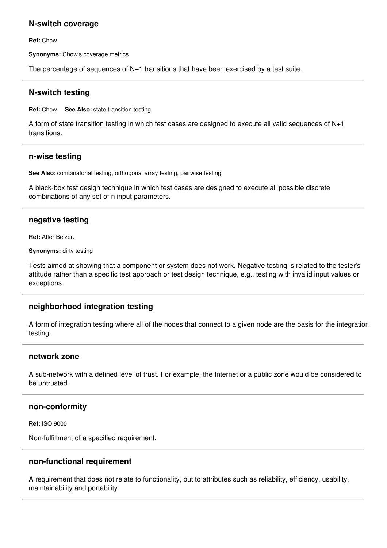## **N-switch coverage**

**Ref:** Chow

**Synonyms:** Chow's coverage metrics

The percentage of sequences of N+1 transitions that have been exercised by a test suite.

## **N-switch testing**

**Ref:** Chow **See Also:** state transition testing

A form of state transition testing in which test cases are designed to execute all valid sequences of N+1 transitions.

### **n-wise testing**

**See Also:** combinatorial testing, orthogonal array testing, pairwise testing

A black-box test design technique in which test cases are designed to execute all possible discrete combinations of any set of n input parameters.

## **negative testing**

**Ref:** After Beizer.

**Synonyms:** dirty testing

Tests aimed at showing that a component or system does not work. Negative testing is related to the tester's attitude rather than a specific test approach or test design technique, e.g., testing with invalid input values or exceptions.

## **neighborhood integration testing**

A form of integration testing where all of the nodes that connect to a given node are the basis for the integration testing.

### **network zone**

A sub-network with a defined level of trust. For example, the Internet or a public zone would be considered to be untrusted.

### **non-conformity**

**Ref:** ISO 9000

Non-fulfillment of a specified requirement.

### **non-functional requirement**

A requirement that does not relate to functionality, but to attributes such as reliability, efficiency, usability, maintainability and portability.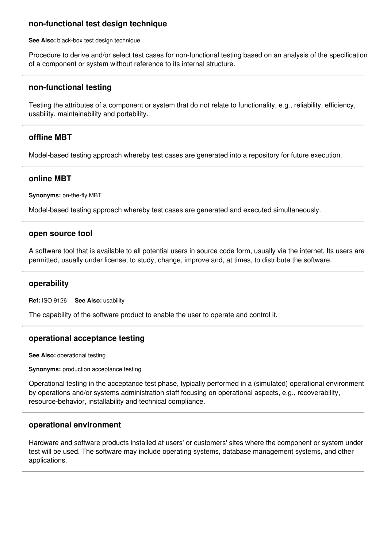## **non-functional test design technique**

**See Also:** black-box test design technique

Procedure to derive and/or select test cases for non-functional testing based on an analysis of the specification of a component or system without reference to its internal structure.

### **non-functional testing**

Testing the attributes of a component or system that do not relate to functionality, e.g., reliability, efficiency, usability, maintainability and portability.

## **offline MBT**

Model-based testing approach whereby test cases are generated into a repository for future execution.

### **online MBT**

**Synonyms:** on-the-fly MBT

Model-based testing approach whereby test cases are generated and executed simultaneously.

#### **open source tool**

A software tool that is available to all potential users in source code form, usually via the internet. Its users are permitted, usually under license, to study, change, improve and, at times, to distribute the software.

### **operability**

**Ref:** ISO 9126 **See Also:** usability

The capability of the software product to enable the user to operate and control it.

### **operational acceptance testing**

**See Also:** operational testing

**Synonyms:** production acceptance testing

Operational testing in the acceptance test phase, typically performed in a (simulated) operational environment by operations and/or systems administration staff focusing on operational aspects, e.g., recoverability, resource-behavior, installability and technical compliance.

### **operational environment**

Hardware and software products installed at users' or customers' sites where the component or system under test will be used. The software may include operating systems, database management systems, and other applications.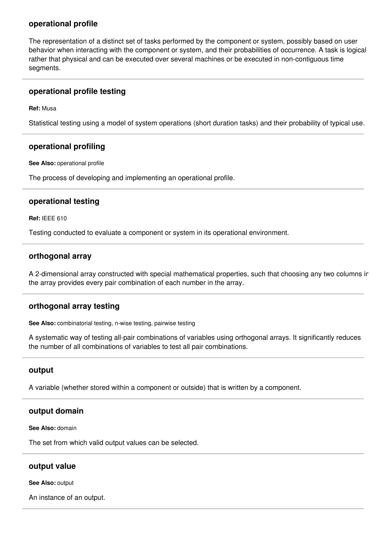## **operational profile**

The representation of a distinct set of tasks performed by the component or system, possibly based on user behavior when interacting with the component or system, and their probabilities of occurrence. A task is logical rather that physical and can be executed over several machines or be executed in non-contiguous time segments.

## **operational profile testing**

**Ref:** Musa

Statistical testing using a model of system operations (short duration tasks) and their probability of typical use.

## **operational profiling**

**See Also:** operational profile

The process of developing and implementing an operational profile.

## **operational testing**

**Ref:** IEEE 610

Testing conducted to evaluate a component or system in its operational environment.

## **orthogonal array**

A 2-dimensional array constructed with special mathematical properties, such that choosing any two columns in the array provides every pair combination of each number in the array.

## **orthogonal array testing**

**See Also:** combinatorial testing, n-wise testing, pairwise testing

A systematic way of testing all-pair combinations of variables using orthogonal arrays. It significantly reduces the number of all combinations of variables to test all pair combinations.

## **output**

A variable (whether stored within a component or outside) that is written by a component.

## **output domain**

**See Also:** domain

The set from which valid output values can be selected.

### **output value**

**See Also:** output

An instance of an output.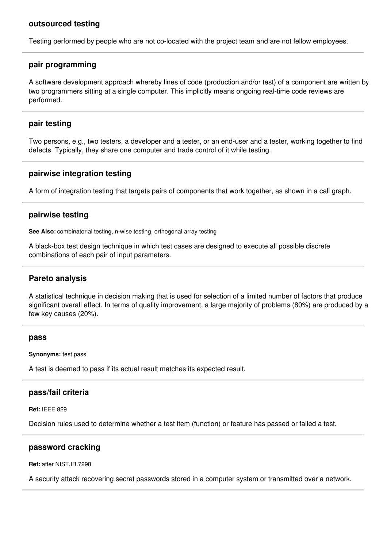### **outsourced testing**

Testing performed by people who are not co-located with the project team and are not fellow employees.

### **pair programming**

A software development approach whereby lines of code (production and/or test) of a component are written by two programmers sitting at a single computer. This implicitly means ongoing real-time code reviews are performed.

### **pair testing**

Two persons, e.g., two testers, a developer and a tester, or an end-user and a tester, working together to find defects. Typically, they share one computer and trade control of it while testing.

## **pairwise integration testing**

A form of integration testing that targets pairs of components that work together, as shown in a call graph.

### **pairwise testing**

**See Also:** combinatorial testing, n-wise testing, orthogonal array testing

A black-box test design technique in which test cases are designed to execute all possible discrete combinations of each pair of input parameters.

## **Pareto analysis**

A statistical technique in decision making that is used for selection of a limited number of factors that produce significant overall effect. In terms of quality improvement, a large majority of problems (80%) are produced by a few key causes (20%).

### **pass**

**Synonyms:** test pass

A test is deemed to pass if its actual result matches its expected result.

### **pass/fail criteria**

**Ref:** IEEE 829

Decision rules used to determine whether a test item (function) or feature has passed or failed a test.

### **password cracking**

**Ref:** after NIST.IR.7298

A security attack recovering secret passwords stored in a computer system or transmitted over a network.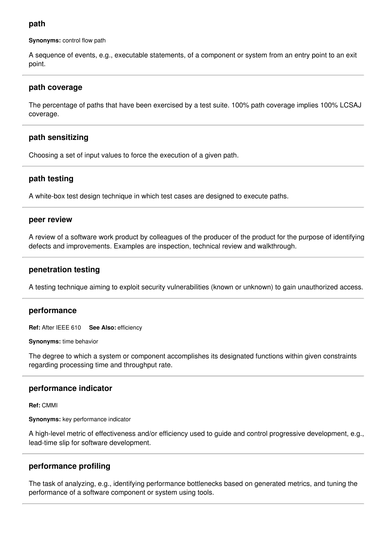## **path**

**Synonyms:** control flow path

A sequence of events, e.g., executable statements, of a component or system from an entry point to an exit point.

## **path coverage**

The percentage of paths that have been exercised by a test suite. 100% path coverage implies 100% LCSAJ coverage.

# **path sensitizing**

Choosing a set of input values to force the execution of a given path.

# **path testing**

A white-box test design technique in which test cases are designed to execute paths.

### **peer review**

A review of a software work product by colleagues of the producer of the product for the purpose of identifying defects and improvements. Examples are inspection, technical review and walkthrough.

## **penetration testing**

A testing technique aiming to exploit security vulnerabilities (known or unknown) to gain unauthorized access.

## **performance**

**Ref:** After IEEE 610 **See Also:** efficiency

**Synonyms:** time behavior

The degree to which a system or component accomplishes its designated functions within given constraints regarding processing time and throughput rate.

## **performance indicator**

**Ref:** CMMI

**Synonyms:** key performance indicator

A high-level metric of effectiveness and/or efficiency used to guide and control progressive development, e.g., lead-time slip for software development.

# **performance profiling**

The task of analyzing, e.g., identifying performance bottlenecks based on generated metrics, and tuning the performance of a software component or system using tools.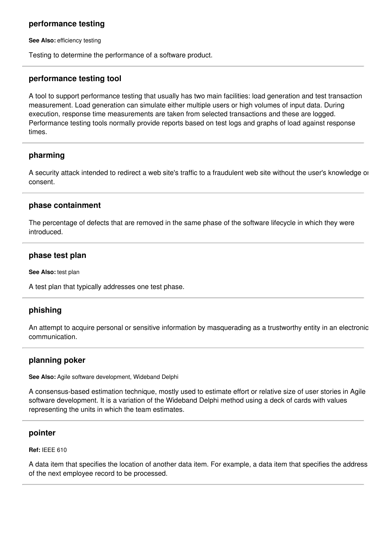## **performance testing**

**See Also:** efficiency testing

Testing to determine the performance of a software product.

### **performance testing tool**

A tool to support performance testing that usually has two main facilities: load generation and test transaction measurement. Load generation can simulate either multiple users or high volumes of input data. During execution, response time measurements are taken from selected transactions and these are logged. Performance testing tools normally provide reports based on test logs and graphs of load against response times.

### **pharming**

A security attack intended to redirect a web site's traffic to a fraudulent web site without the user's knowledge or consent.

### **phase containment**

The percentage of defects that are removed in the same phase of the software lifecycle in which they were introduced.

### **phase test plan**

**See Also:** test plan

A test plan that typically addresses one test phase.

## **phishing**

An attempt to acquire personal or sensitive information by masquerading as a trustworthy entity in an electronic communication.

## **planning poker**

**See Also:** Agile software development, Wideband Delphi

A consensus-based estimation technique, mostly used to estimate effort or relative size of user stories in Agile software development. It is a variation of the Wideband Delphi method using a deck of cards with values representing the units in which the team estimates.

### **pointer**

**Ref:** IEEE 610

A data item that specifies the location of another data item. For example, a data item that specifies the address of the next employee record to be processed.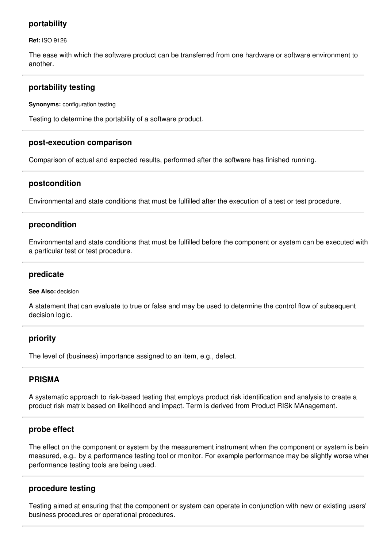## **portability**

**Ref:** ISO 9126

The ease with which the software product can be transferred from one hardware or software environment to another.

## **portability testing**

**Synonyms:** configuration testing

Testing to determine the portability of a software product.

### **post-execution comparison**

Comparison of actual and expected results, performed after the software has finished running.

## **postcondition**

Environmental and state conditions that must be fulfilled after the execution of a test or test procedure.

## **precondition**

Environmental and state conditions that must be fulfilled before the component or system can be executed with a particular test or test procedure.

### **predicate**

#### **See Also:** decision

A statement that can evaluate to true or false and may be used to determine the control flow of subsequent decision logic.

## **priority**

The level of (business) importance assigned to an item, e.g., defect.

## **PRISMA**

A systematic approach to risk-based testing that employs product risk identification and analysis to create a product risk matrix based on likelihood and impact. Term is derived from Product RISk MAnagement.

## **probe effect**

The effect on the component or system by the measurement instrument when the component or system is being measured, e.g., by a performance testing tool or monitor. For example performance may be slightly worse when performance testing tools are being used.

## **procedure testing**

Testing aimed at ensuring that the component or system can operate in conjunction with new or existing users' business procedures or operational procedures.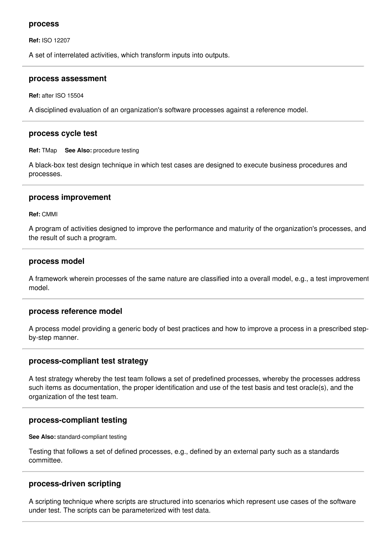#### **process**

**Ref:** ISO 12207

A set of interrelated activities, which transform inputs into outputs.

#### **process assessment**

**Ref:** after ISO 15504

A disciplined evaluation of an organization's software processes against a reference model.

### **process cycle test**

**Ref:** TMap **See Also:** procedure testing

A black-box test design technique in which test cases are designed to execute business procedures and processes.

### **process improvement**

**Ref:** CMMI

A program of activities designed to improve the performance and maturity of the organization's processes, and the result of such a program.

#### **process model**

A framework wherein processes of the same nature are classified into a overall model, e.g., a test improvement model.

### **process reference model**

A process model providing a generic body of best practices and how to improve a process in a prescribed stepby-step manner.

### **process-compliant test strategy**

A test strategy whereby the test team follows a set of predefined processes, whereby the processes address such items as documentation, the proper identification and use of the test basis and test oracle(s), and the organization of the test team.

## **process-compliant testing**

**See Also:** standard-compliant testing

Testing that follows a set of defined processes, e.g., defined by an external party such as a standards committee.

## **process-driven scripting**

A scripting technique where scripts are structured into scenarios which represent use cases of the software under test. The scripts can be parameterized with test data.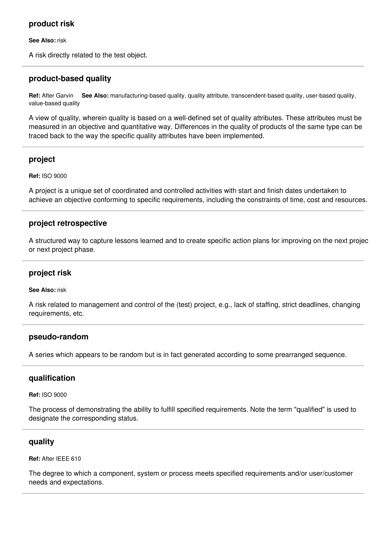# **product risk**

**See Also:** risk

A risk directly related to the test object.

# **product-based quality**

**Ref:** After Garvin **See Also:** manufacturing-based quality, quality attribute, transcendent-based quality, user-based quality, value-based quality

A view of quality, wherein quality is based on a well-defined set of quality attributes. These attributes must be measured in an objective and quantitative way. Differences in the quality of products of the same type can be traced back to the way the specific quality attributes have been implemented.

# **project**

**Ref:** ISO 9000

A project is a unique set of coordinated and controlled activities with start and finish dates undertaken to achieve an objective conforming to specific requirements, including the constraints of time, cost and resources.

# **project retrospective**

A structured way to capture lessons learned and to create specific action plans for improving on the next project or next project phase.

## **project risk**

### **See Also:** risk

A risk related to management and control of the (test) project, e.g., lack of staffing, strict deadlines, changing requirements, etc.

## **pseudo-random**

A series which appears to be random but is in fact generated according to some prearranged sequence.

# **qualification**

**Ref:** ISO 9000

The process of demonstrating the ability to fulfill specified requirements. Note the term "qualified" is used to designate the corresponding status.

# **quality**

**Ref:** After IEEE 610

The degree to which a component, system or process meets specified requirements and/or user/customer needs and expectations.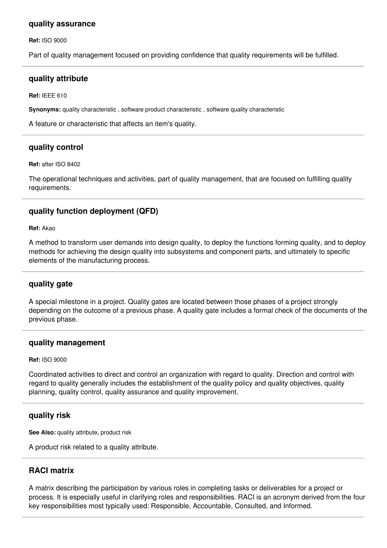## **quality assurance**

**Ref:** ISO 9000

Part of quality management focused on providing confidence that quality requirements will be fulfilled.

### **quality attribute**

**Ref:** IEEE 610

**Synonyms:** quality characteristic , software product characteristic , software quality characteristic

A feature or characteristic that affects an item's quality.

## **quality control**

**Ref:** after ISO 8402

The operational techniques and activities, part of quality management, that are focused on fulfilling quality requirements.

# **quality function deployment (QFD)**

**Ref:** Akao

A method to transform user demands into design quality, to deploy the functions forming quality, and to deploy methods for achieving the design quality into subsystems and component parts, and ultimately to specific elements of the manufacturing process.

## **quality gate**

A special milestone in a project. Quality gates are located between those phases of a project strongly depending on the outcome of a previous phase. A quality gate includes a formal check of the documents of the previous phase.

## **quality management**

#### **Ref:** ISO 9000

Coordinated activities to direct and control an organization with regard to quality. Direction and control with regard to quality generally includes the establishment of the quality policy and quality objectives, quality planning, quality control, quality assurance and quality improvement.

## **quality risk**

**See Also:** quality attribute, product risk

A product risk related to a quality attribute.

# **RACI matrix**

A matrix describing the participation by various roles in completing tasks or deliverables for a project or process. It is especially useful in clarifying roles and responsibilities. RACI is an acronym derived from the four key responsibilities most typically used: Responsible, Accountable, Consulted, and Informed.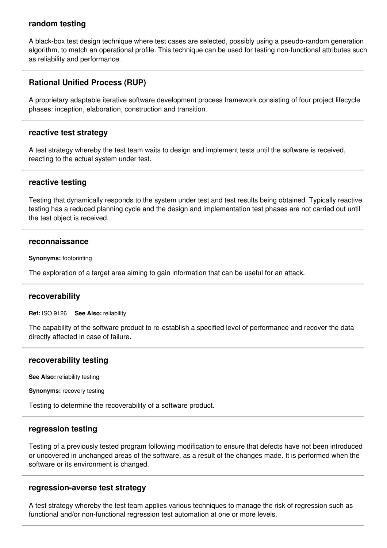## **random testing**

A black-box test design technique where test cases are selected, possibly using a pseudo-random generation algorithm, to match an operational profile. This technique can be used for testing non-functional attributes such as reliability and performance.

# **Rational Unified Process (RUP)**

A proprietary adaptable iterative software development process framework consisting of four project lifecycle phases: inception, elaboration, construction and transition.

### **reactive test strategy**

A test strategy whereby the test team waits to design and implement tests until the software is received, reacting to the actual system under test.

### **reactive testing**

Testing that dynamically responds to the system under test and test results being obtained. Typically reactive testing has a reduced planning cycle and the design and implementation test phases are not carried out until the test object is received.

#### **reconnaissance**

**Synonyms:** footprinting

The exploration of a target area aiming to gain information that can be useful for an attack.

### **recoverability**

**Ref:** ISO 9126 **See Also:** reliability

The capability of the software product to re-establish a specified level of performance and recover the data directly affected in case of failure.

### **recoverability testing**

**See Also:** reliability testing

**Synonyms:** recovery testing

Testing to determine the recoverability of a software product.

#### **regression testing**

Testing of a previously tested program following modification to ensure that defects have not been introduced or uncovered in unchanged areas of the software, as a result of the changes made. It is performed when the software or its environment is changed.

### **regression-averse test strategy**

A test strategy whereby the test team applies various techniques to manage the risk of regression such as functional and/or non-functional regression test automation at one or more levels.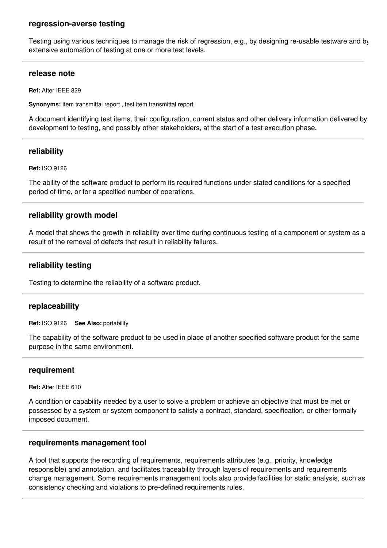## **regression-averse testing**

Testing using various techniques to manage the risk of regression, e.g., by designing re-usable testware and by extensive automation of testing at one or more test levels.

### **release note**

**Ref:** After IEEE 829

**Synonyms:** item transmittal report , test item transmittal report

A document identifying test items, their configuration, current status and other delivery information delivered by development to testing, and possibly other stakeholders, at the start of a test execution phase.

### **reliability**

#### **Ref:** ISO 9126

The ability of the software product to perform its required functions under stated conditions for a specified period of time, or for a specified number of operations.

### **reliability growth model**

A model that shows the growth in reliability over time during continuous testing of a component or system as a result of the removal of defects that result in reliability failures.

### **reliability testing**

Testing to determine the reliability of a software product.

### **replaceability**

**Ref:** ISO 9126 **See Also:** portability

The capability of the software product to be used in place of another specified software product for the same purpose in the same environment.

#### **requirement**

**Ref:** After IEEE 610

A condition or capability needed by a user to solve a problem or achieve an objective that must be met or possessed by a system or system component to satisfy a contract, standard, specification, or other formally imposed document.

#### **requirements management tool**

A tool that supports the recording of requirements, requirements attributes (e.g., priority, knowledge responsible) and annotation, and facilitates traceability through layers of requirements and requirements change management. Some requirements management tools also provide facilities for static analysis, such as consistency checking and violations to pre-defined requirements rules.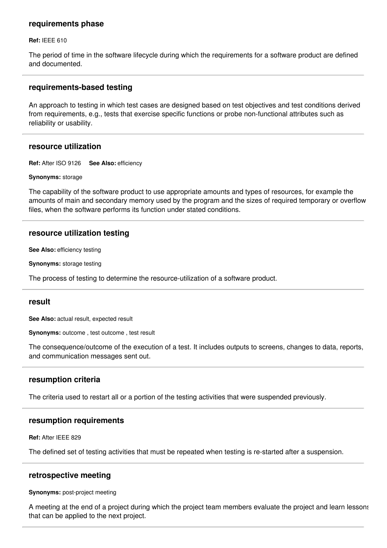### **requirements phase**

**Ref:** IEEE 610

The period of time in the software lifecycle during which the requirements for a software product are defined and documented.

### **requirements-based testing**

An approach to testing in which test cases are designed based on test objectives and test conditions derived from requirements, e.g., tests that exercise specific functions or probe non-functional attributes such as reliability or usability.

## **resource utilization**

**Ref:** After ISO 9126 **See Also:** efficiency

**Synonyms:** storage

The capability of the software product to use appropriate amounts and types of resources, for example the amounts of main and secondary memory used by the program and the sizes of required temporary or overflow files, when the software performs its function under stated conditions.

### **resource utilization testing**

**See Also:** efficiency testing

**Synonyms:** storage testing

The process of testing to determine the resource-utilization of a software product.

### **result**

**See Also:** actual result, expected result

**Synonyms:** outcome , test outcome , test result

The consequence/outcome of the execution of a test. It includes outputs to screens, changes to data, reports, and communication messages sent out.

### **resumption criteria**

The criteria used to restart all or a portion of the testing activities that were suspended previously.

### **resumption requirements**

**Ref:** After IEEE 829

The defined set of testing activities that must be repeated when testing is re-started after a suspension.

### **retrospective meeting**

**Synonyms:** post-project meeting

A meeting at the end of a project during which the project team members evaluate the project and learn lessons that can be applied to the next project.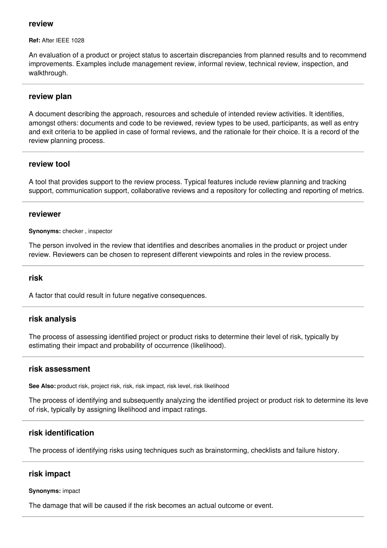### **review**

**Ref:** After IEEE 1028

An evaluation of a product or project status to ascertain discrepancies from planned results and to recommend improvements. Examples include management review, informal review, technical review, inspection, and walkthrough.

### **review plan**

A document describing the approach, resources and schedule of intended review activities. It identifies, amongst others: documents and code to be reviewed, review types to be used, participants, as well as entry and exit criteria to be applied in case of formal reviews, and the rationale for their choice. It is a record of the review planning process.

## **review tool**

A tool that provides support to the review process. Typical features include review planning and tracking support, communication support, collaborative reviews and a repository for collecting and reporting of metrics.

### **reviewer**

**Synonyms:** checker , inspector

The person involved in the review that identifies and describes anomalies in the product or project under review. Reviewers can be chosen to represent different viewpoints and roles in the review process.

### **risk**

A factor that could result in future negative consequences.

### **risk analysis**

The process of assessing identified project or product risks to determine their level of risk, typically by estimating their impact and probability of occurrence (likelihood).

### **risk assessment**

**See Also:** product risk, project risk, risk, risk impact, risk level, risk likelihood

The process of identifying and subsequently analyzing the identified project or product risk to determine its level of risk, typically by assigning likelihood and impact ratings.

## **risk identification**

The process of identifying risks using techniques such as brainstorming, checklists and failure history.

### **risk impact**

#### **Synonyms:** impact

The damage that will be caused if the risk becomes an actual outcome or event.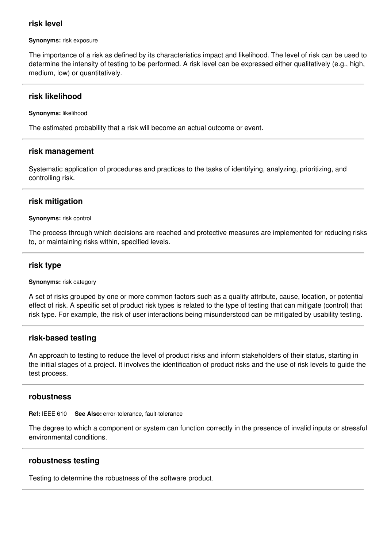## **risk level**

#### **Synonyms:** risk exposure

The importance of a risk as defined by its characteristics impact and likelihood. The level of risk can be used to determine the intensity of testing to be performed. A risk level can be expressed either qualitatively (e.g., high, medium, low) or quantitatively.

## **risk likelihood**

**Synonyms:** likelihood

The estimated probability that a risk will become an actual outcome or event.

## **risk management**

Systematic application of procedures and practices to the tasks of identifying, analyzing, prioritizing, and controlling risk.

# **risk mitigation**

### **Synonyms:** risk control

The process through which decisions are reached and protective measures are implemented for reducing risks to, or maintaining risks within, specified levels.

# **risk type**

**Synonyms:** risk category

A set of risks grouped by one or more common factors such as a quality attribute, cause, location, or potential effect of risk. A specific set of product risk types is related to the type of testing that can mitigate (control) that risk type. For example, the risk of user interactions being misunderstood can be mitigated by usability testing.

## **risk-based testing**

An approach to testing to reduce the level of product risks and inform stakeholders of their status, starting in the initial stages of a project. It involves the identification of product risks and the use of risk levels to guide the test process.

## **robustness**

**Ref:** IEEE 610 **See Also:** error-tolerance, fault-tolerance

The degree to which a component or system can function correctly in the presence of invalid inputs or stressful environmental conditions.

# **robustness testing**

Testing to determine the robustness of the software product.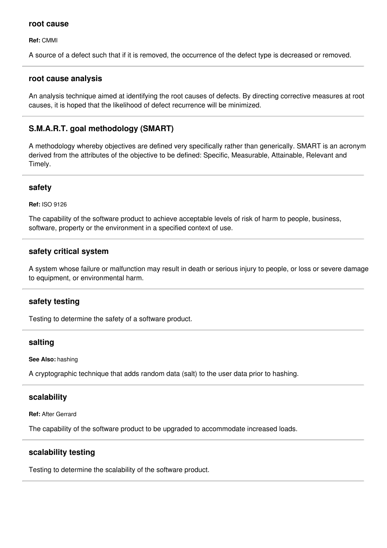### **root cause**

**Ref:** CMMI

A source of a defect such that if it is removed, the occurrence of the defect type is decreased or removed.

### **root cause analysis**

An analysis technique aimed at identifying the root causes of defects. By directing corrective measures at root causes, it is hoped that the likelihood of defect recurrence will be minimized.

# **S.M.A.R.T. goal methodology (SMART)**

A methodology whereby objectives are defined very specifically rather than generically. SMART is an acronym derived from the attributes of the objective to be defined: Specific, Measurable, Attainable, Relevant and Timely.

## **safety**

**Ref:** ISO 9126

The capability of the software product to achieve acceptable levels of risk of harm to people, business, software, property or the environment in a specified context of use.

## **safety critical system**

A system whose failure or malfunction may result in death or serious injury to people, or loss or severe damage to equipment, or environmental harm.

## **safety testing**

Testing to determine the safety of a software product.

## **salting**

**See Also:** hashing

A cryptographic technique that adds random data (salt) to the user data prior to hashing.

## **scalability**

**Ref:** After Gerrard

The capability of the software product to be upgraded to accommodate increased loads.

## **scalability testing**

Testing to determine the scalability of the software product.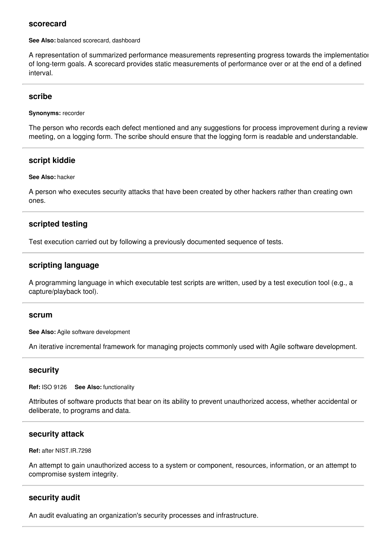### **scorecard**

**See Also:** balanced scorecard, dashboard

A representation of summarized performance measurements representing progress towards the implementation of long-term goals. A scorecard provides static measurements of performance over or at the end of a defined interval.

### **scribe**

**Synonyms:** recorder

The person who records each defect mentioned and any suggestions for process improvement during a review meeting, on a logging form. The scribe should ensure that the logging form is readable and understandable.

## **script kiddie**

#### **See Also:** hacker

A person who executes security attacks that have been created by other hackers rather than creating own ones.

## **scripted testing**

Test execution carried out by following a previously documented sequence of tests.

## **scripting language**

A programming language in which executable test scripts are written, used by a test execution tool (e.g., a capture/playback tool).

#### **scrum**

**See Also:** Agile software development

An iterative incremental framework for managing projects commonly used with Agile software development.

### **security**

**Ref:** ISO 9126 **See Also:** functionality

Attributes of software products that bear on its ability to prevent unauthorized access, whether accidental or deliberate, to programs and data.

### **security attack**

#### **Ref:** after NIST.IR.7298

An attempt to gain unauthorized access to a system or component, resources, information, or an attempt to compromise system integrity.

## **security audit**

An audit evaluating an organization's security processes and infrastructure.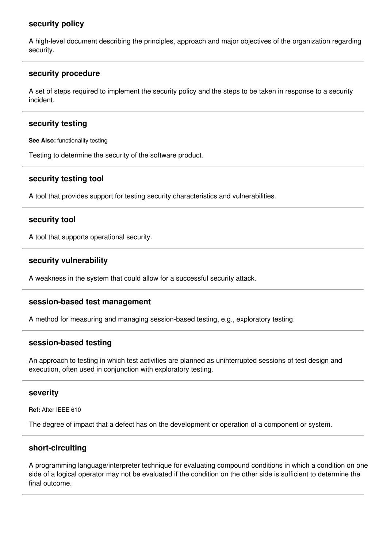## **security policy**

A high-level document describing the principles, approach and major objectives of the organization regarding security.

### **security procedure**

A set of steps required to implement the security policy and the steps to be taken in response to a security incident.

## **security testing**

**See Also:** functionality testing

Testing to determine the security of the software product.

## **security testing tool**

A tool that provides support for testing security characteristics and vulnerabilities.

## **security tool**

A tool that supports operational security.

### **security vulnerability**

A weakness in the system that could allow for a successful security attack.

### **session-based test management**

A method for measuring and managing session-based testing, e.g., exploratory testing.

### **session-based testing**

An approach to testing in which test activities are planned as uninterrupted sessions of test design and execution, often used in conjunction with exploratory testing.

### **severity**

**Ref:** After IEEE 610

The degree of impact that a defect has on the development or operation of a component or system.

## **short-circuiting**

A programming language/interpreter technique for evaluating compound conditions in which a condition on one side of a logical operator may not be evaluated if the condition on the other side is sufficient to determine the final outcome.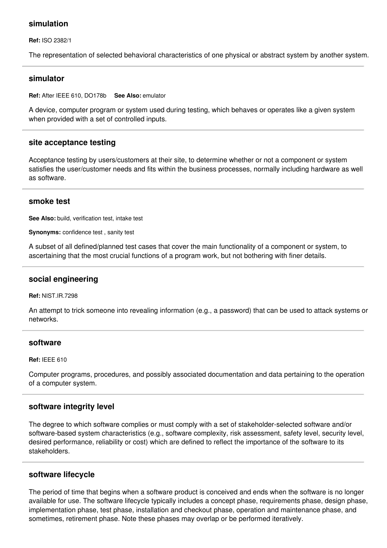## **simulation**

**Ref:** ISO 2382/1

The representation of selected behavioral characteristics of one physical or abstract system by another system.

### **simulator**

**Ref:** After IEEE 610, DO178b **See Also:** emulator

A device, computer program or system used during testing, which behaves or operates like a given system when provided with a set of controlled inputs.

## **site acceptance testing**

Acceptance testing by users/customers at their site, to determine whether or not a component or system satisfies the user/customer needs and fits within the business processes, normally including hardware as well as software.

### **smoke test**

**See Also:** build, verification test, intake test

**Synonyms:** confidence test , sanity test

A subset of all defined/planned test cases that cover the main functionality of a component or system, to ascertaining that the most crucial functions of a program work, but not bothering with finer details.

## **social engineering**

**Ref:** NIST.IR.7298

An attempt to trick someone into revealing information (e.g., a password) that can be used to attack systems or networks.

### **software**

**Ref:** IEEE 610

Computer programs, procedures, and possibly associated documentation and data pertaining to the operation of a computer system.

## **software integrity level**

The degree to which software complies or must comply with a set of stakeholder-selected software and/or software-based system characteristics (e.g., software complexity, risk assessment, safety level, security level, desired performance, reliability or cost) which are defined to reflect the importance of the software to its stakeholders.

### **software lifecycle**

The period of time that begins when a software product is conceived and ends when the software is no longer available for use. The software lifecycle typically includes a concept phase, requirements phase, design phase, implementation phase, test phase, installation and checkout phase, operation and maintenance phase, and sometimes, retirement phase. Note these phases may overlap or be performed iteratively.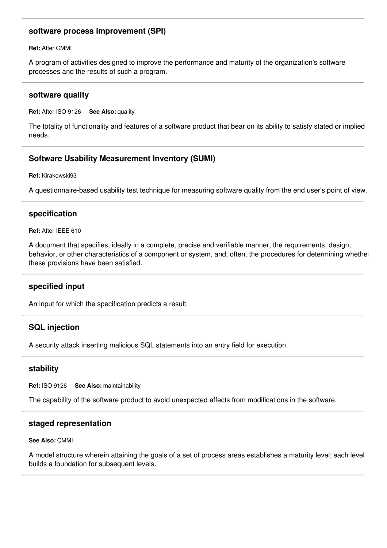# **software process improvement (SPI)**

**Ref:** After CMMI

A program of activities designed to improve the performance and maturity of the organization's software processes and the results of such a program.

### **software quality**

**Ref:** After ISO 9126 **See Also:** quality

The totality of functionality and features of a software product that bear on its ability to satisfy stated or implied needs.

## **Software Usability Measurement Inventory (SUMI)**

**Ref:** Kirakowski93

A questionnaire-based usability test technique for measuring software quality from the end user's point of view.

## **specification**

**Ref:** After IEEE 610

A document that specifies, ideally in a complete, precise and verifiable manner, the requirements, design, behavior, or other characteristics of a component or system, and, often, the procedures for determining whether these provisions have been satisfied.

## **specified input**

An input for which the specification predicts a result.

## **SQL injection**

A security attack inserting malicious SQL statements into an entry field for execution.

## **stability**

**Ref:** ISO 9126 **See Also:** maintainability

The capability of the software product to avoid unexpected effects from modifications in the software.

### **staged representation**

**See Also:** CMMI

A model structure wherein attaining the goals of a set of process areas establishes a maturity level; each level builds a foundation for subsequent levels.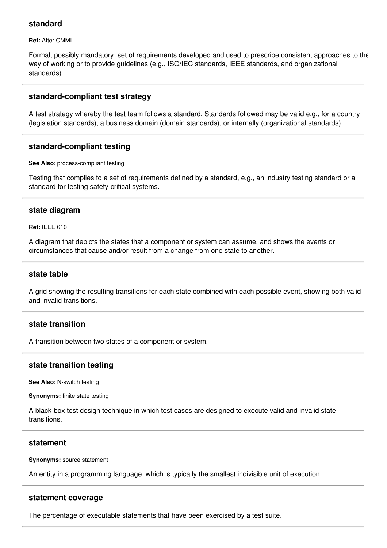## **standard**

**Ref:** After CMMI

Formal, possibly mandatory, set of requirements developed and used to prescribe consistent approaches to the way of working or to provide guidelines (e.g., ISO/IEC standards, IEEE standards, and organizational standards).

## **standard-compliant test strategy**

A test strategy whereby the test team follows a standard. Standards followed may be valid e.g., for a country (legislation standards), a business domain (domain standards), or internally (organizational standards).

## **standard-compliant testing**

**See Also:** process-compliant testing

Testing that complies to a set of requirements defined by a standard, e.g., an industry testing standard or a standard for testing safety-critical systems.

## **state diagram**

**Ref:** IEEE 610

A diagram that depicts the states that a component or system can assume, and shows the events or circumstances that cause and/or result from a change from one state to another.

### **state table**

A grid showing the resulting transitions for each state combined with each possible event, showing both valid and invalid transitions.

## **state transition**

A transition between two states of a component or system.

## **state transition testing**

**See Also:** N-switch testing

**Synonyms:** finite state testing

A black-box test design technique in which test cases are designed to execute valid and invalid state transitions.

## **statement**

**Synonyms:** source statement

An entity in a programming language, which is typically the smallest indivisible unit of execution.

## **statement coverage**

The percentage of executable statements that have been exercised by a test suite.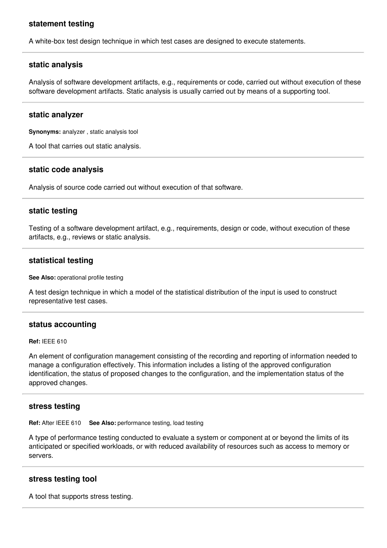## **statement testing**

A white-box test design technique in which test cases are designed to execute statements.

## **static analysis**

Analysis of software development artifacts, e.g., requirements or code, carried out without execution of these software development artifacts. Static analysis is usually carried out by means of a supporting tool.

### **static analyzer**

**Synonyms:** analyzer , static analysis tool

A tool that carries out static analysis.

### **static code analysis**

Analysis of source code carried out without execution of that software.

## **static testing**

Testing of a software development artifact, e.g., requirements, design or code, without execution of these artifacts, e.g., reviews or static analysis.

### **statistical testing**

**See Also:** operational profile testing

A test design technique in which a model of the statistical distribution of the input is used to construct representative test cases.

### **status accounting**

**Ref:** IEEE 610

An element of configuration management consisting of the recording and reporting of information needed to manage a configuration effectively. This information includes a listing of the approved configuration identification, the status of proposed changes to the configuration, and the implementation status of the approved changes.

### **stress testing**

**Ref:** After IEEE 610 **See Also:** performance testing, load testing

A type of performance testing conducted to evaluate a system or component at or beyond the limits of its anticipated or specified workloads, or with reduced availability of resources such as access to memory or servers.

### **stress testing tool**

A tool that supports stress testing.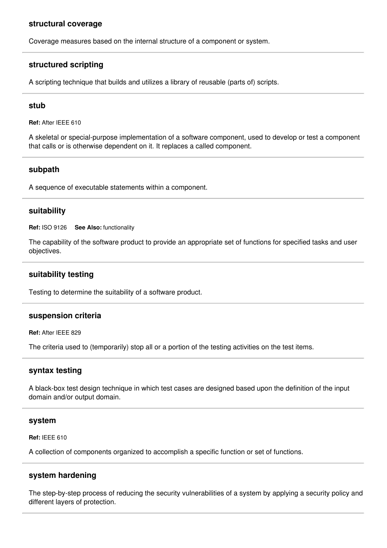### **structural coverage**

Coverage measures based on the internal structure of a component or system.

# **structured scripting**

A scripting technique that builds and utilizes a library of reusable (parts of) scripts.

#### **stub**

**Ref:** After IEEE 610

A skeletal or special-purpose implementation of a software component, used to develop or test a component that calls or is otherwise dependent on it. It replaces a called component.

### **subpath**

A sequence of executable statements within a component.

### **suitability**

**Ref:** ISO 9126 **See Also:** functionality

The capability of the software product to provide an appropriate set of functions for specified tasks and user objectives.

## **suitability testing**

Testing to determine the suitability of a software product.

#### **suspension criteria**

**Ref:** After IEEE 829

The criteria used to (temporarily) stop all or a portion of the testing activities on the test items.

### **syntax testing**

A black-box test design technique in which test cases are designed based upon the definition of the input domain and/or output domain.

#### **system**

**Ref:** IEEE 610

A collection of components organized to accomplish a specific function or set of functions.

### **system hardening**

The step-by-step process of reducing the security vulnerabilities of a system by applying a security policy and different layers of protection.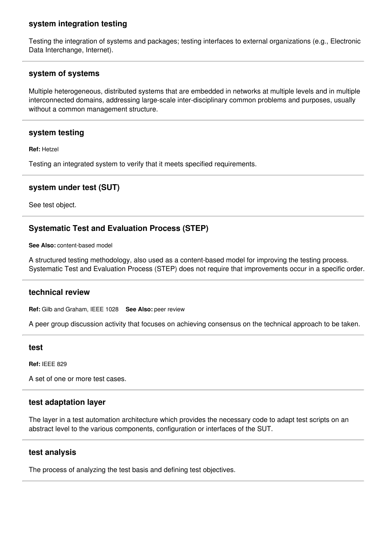# **system integration testing**

Testing the integration of systems and packages; testing interfaces to external organizations (e.g., Electronic Data Interchange, Internet).

## **system of systems**

Multiple heterogeneous, distributed systems that are embedded in networks at multiple levels and in multiple interconnected domains, addressing large-scale inter-disciplinary common problems and purposes, usually without a common management structure.

## **system testing**

**Ref:** Hetzel

Testing an integrated system to verify that it meets specified requirements.

## **system under test (SUT)**

See test object.

# **Systematic Test and Evaluation Process (STEP)**

**See Also:** content-based model

A structured testing methodology, also used as a content-based model for improving the testing process. Systematic Test and Evaluation Process (STEP) does not require that improvements occur in a specific order.

## **technical review**

**Ref:** Gilb and Graham, IEEE 1028 **See Also:** peer review

A peer group discussion activity that focuses on achieving consensus on the technical approach to be taken.

#### **test**

**Ref:** IEEE 829

A set of one or more test cases.

## **test adaptation layer**

The layer in a test automation architecture which provides the necessary code to adapt test scripts on an abstract level to the various components, configuration or interfaces of the SUT.

### **test analysis**

The process of analyzing the test basis and defining test objectives.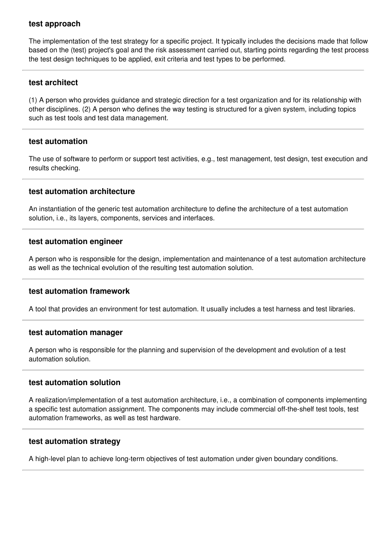# **test approach**

The implementation of the test strategy for a specific project. It typically includes the decisions made that follow based on the (test) project's goal and the risk assessment carried out, starting points regarding the test process, the test design techniques to be applied, exit criteria and test types to be performed.

## **test architect**

(1) A person who provides guidance and strategic direction for a test organization and for its relationship with other disciplines. (2) A person who defines the way testing is structured for a given system, including topics such as test tools and test data management.

## **test automation**

The use of software to perform or support test activities, e.g., test management, test design, test execution and results checking.

## **test automation architecture**

An instantiation of the generic test automation architecture to define the architecture of a test automation solution, i.e., its layers, components, services and interfaces.

## **test automation engineer**

A person who is responsible for the design, implementation and maintenance of a test automation architecture as well as the technical evolution of the resulting test automation solution.

## **test automation framework**

A tool that provides an environment for test automation. It usually includes a test harness and test libraries.

## **test automation manager**

A person who is responsible for the planning and supervision of the development and evolution of a test automation solution.

## **test automation solution**

A realization/implementation of a test automation architecture, i.e., a combination of components implementing a specific test automation assignment. The components may include commercial off-the-shelf test tools, test automation frameworks, as well as test hardware.

## **test automation strategy**

A high-level plan to achieve long-term objectives of test automation under given boundary conditions.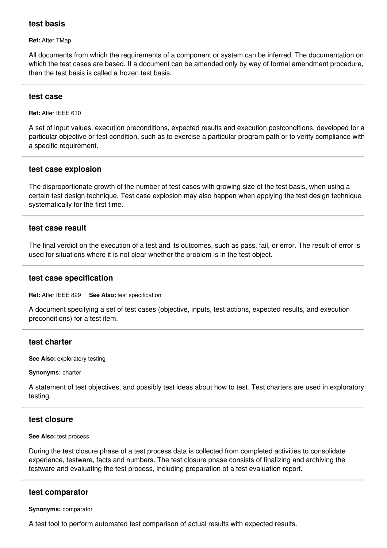## **test basis**

#### **Ref:** After TMap

All documents from which the requirements of a component or system can be inferred. The documentation on which the test cases are based. If a document can be amended only by way of formal amendment procedure, then the test basis is called a frozen test basis.

### **test case**

**Ref:** After IEEE 610

A set of input values, execution preconditions, expected results and execution postconditions, developed for a particular objective or test condition, such as to exercise a particular program path or to verify compliance with a specific requirement.

## **test case explosion**

The disproportionate growth of the number of test cases with growing size of the test basis, when using a certain test design technique. Test case explosion may also happen when applying the test design technique systematically for the first time.

### **test case result**

The final verdict on the execution of a test and its outcomes, such as pass, fail, or error. The result of error is used for situations where it is not clear whether the problem is in the test object.

### **test case specification**

**Ref:** After IEEE 829 **See Also:** test specification

A document specifying a set of test cases (objective, inputs, test actions, expected results, and execution preconditions) for a test item.

### **test charter**

**See Also:** exploratory testing

#### **Synonyms:** charter

A statement of test objectives, and possibly test ideas about how to test. Test charters are used in exploratory testing.

### **test closure**

#### **See Also:** test process

During the test closure phase of a test process data is collected from completed activities to consolidate experience, testware, facts and numbers. The test closure phase consists of finalizing and archiving the testware and evaluating the test process, including preparation of a test evaluation report.

### **test comparator**

#### **Synonyms:** comparator

A test tool to perform automated test comparison of actual results with expected results.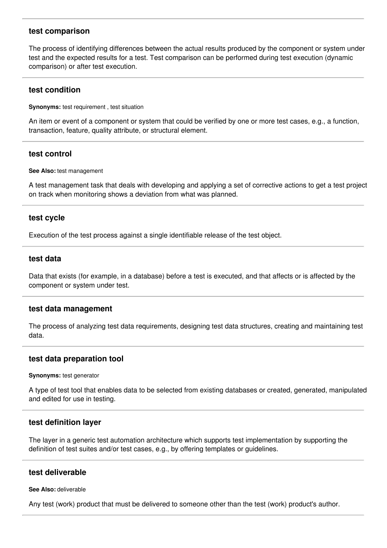### **test comparison**

The process of identifying differences between the actual results produced by the component or system under test and the expected results for a test. Test comparison can be performed during test execution (dynamic comparison) or after test execution.

### **test condition**

**Synonyms:** test requirement , test situation

An item or event of a component or system that could be verified by one or more test cases, e.g., a function, transaction, feature, quality attribute, or structural element.

## **test control**

#### **See Also:** test management

A test management task that deals with developing and applying a set of corrective actions to get a test project on track when monitoring shows a deviation from what was planned.

### **test cycle**

Execution of the test process against a single identifiable release of the test object.

### **test data**

Data that exists (for example, in a database) before a test is executed, and that affects or is affected by the component or system under test.

### **test data management**

The process of analyzing test data requirements, designing test data structures, creating and maintaining test data.

## **test data preparation tool**

**Synonyms:** test generator

A type of test tool that enables data to be selected from existing databases or created, generated, manipulated and edited for use in testing.

### **test definition layer**

The layer in a generic test automation architecture which supports test implementation by supporting the definition of test suites and/or test cases, e.g., by offering templates or guidelines.

### **test deliverable**

#### **See Also:** deliverable

Any test (work) product that must be delivered to someone other than the test (work) product's author.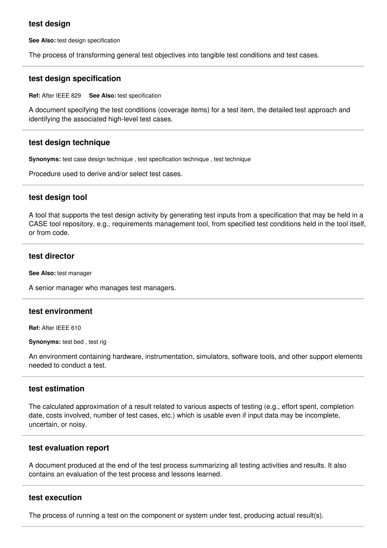## **test design**

**See Also:** test design specification

The process of transforming general test objectives into tangible test conditions and test cases.

### **test design specification**

**Ref:** After IEEE 829 **See Also:** test specification

A document specifying the test conditions (coverage items) for a test item, the detailed test approach and identifying the associated high-level test cases.

### **test design technique**

**Synonyms:** test case design technique , test specification technique , test technique

Procedure used to derive and/or select test cases.

### **test design tool**

A tool that supports the test design activity by generating test inputs from a specification that may be held in a CASE tool repository, e.g., requirements management tool, from specified test conditions held in the tool itself, or from code.

### **test director**

**See Also:** test manager

A senior manager who manages test managers.

## **test environment**

**Ref:** After IEEE 610

**Synonyms:** test bed , test rig

An environment containing hardware, instrumentation, simulators, software tools, and other support elements needed to conduct a test.

## **test estimation**

The calculated approximation of a result related to various aspects of testing (e.g., effort spent, completion date, costs involved, number of test cases, etc.) which is usable even if input data may be incomplete, uncertain, or noisy.

### **test evaluation report**

A document produced at the end of the test process summarizing all testing activities and results. It also contains an evaluation of the test process and lessons learned.

## **test execution**

The process of running a test on the component or system under test, producing actual result(s).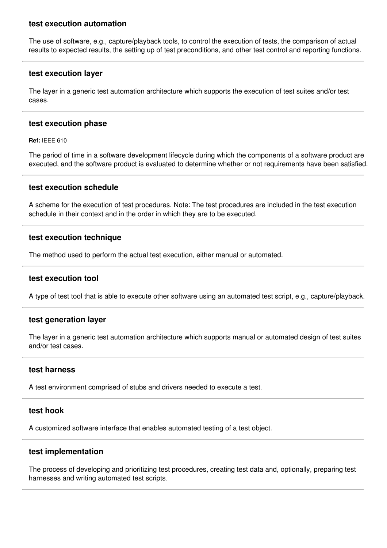## **test execution automation**

The use of software, e.g., capture/playback tools, to control the execution of tests, the comparison of actual results to expected results, the setting up of test preconditions, and other test control and reporting functions.

## **test execution layer**

The layer in a generic test automation architecture which supports the execution of test suites and/or test cases.

### **test execution phase**

**Ref:** IEEE 610

The period of time in a software development lifecycle during which the components of a software product are executed, and the software product is evaluated to determine whether or not requirements have been satisfied.

## **test execution schedule**

A scheme for the execution of test procedures. Note: The test procedures are included in the test execution schedule in their context and in the order in which they are to be executed.

## **test execution technique**

The method used to perform the actual test execution, either manual or automated.

## **test execution tool**

A type of test tool that is able to execute other software using an automated test script, e.g., capture/playback.

## **test generation layer**

The layer in a generic test automation architecture which supports manual or automated design of test suites and/or test cases.

### **test harness**

A test environment comprised of stubs and drivers needed to execute a test.

## **test hook**

A customized software interface that enables automated testing of a test object.

# **test implementation**

The process of developing and prioritizing test procedures, creating test data and, optionally, preparing test harnesses and writing automated test scripts.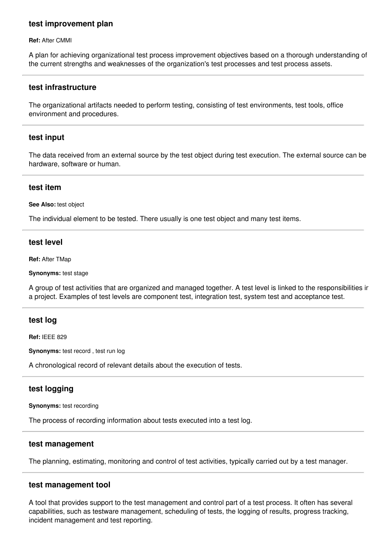## **test improvement plan**

**Ref:** After CMMI

A plan for achieving organizational test process improvement objectives based on a thorough understanding of the current strengths and weaknesses of the organization's test processes and test process assets.

### **test infrastructure**

The organizational artifacts needed to perform testing, consisting of test environments, test tools, office environment and procedures.

### **test input**

The data received from an external source by the test object during test execution. The external source can be hardware, software or human.

### **test item**

**See Also:** test object

The individual element to be tested. There usually is one test object and many test items.

### **test level**

**Ref:** After TMap

**Synonyms:** test stage

A group of test activities that are organized and managed together. A test level is linked to the responsibilities in a project. Examples of test levels are component test, integration test, system test and acceptance test.

### **test log**

**Ref:** IEEE 829

**Synonyms:** test record , test run log

A chronological record of relevant details about the execution of tests.

## **test logging**

**Synonyms:** test recording

The process of recording information about tests executed into a test log.

### **test management**

The planning, estimating, monitoring and control of test activities, typically carried out by a test manager.

### **test management tool**

A tool that provides support to the test management and control part of a test process. It often has several capabilities, such as testware management, scheduling of tests, the logging of results, progress tracking, incident management and test reporting.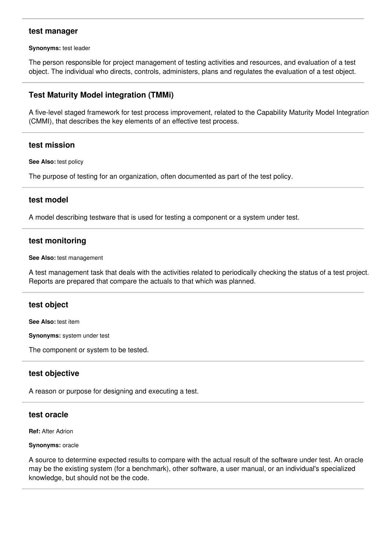## **test manager**

**Synonyms:** test leader

The person responsible for project management of testing activities and resources, and evaluation of a test object. The individual who directs, controls, administers, plans and regulates the evaluation of a test object.

# **Test Maturity Model integration (TMMi)**

A five-level staged framework for test process improvement, related to the Capability Maturity Model Integration (CMMI), that describes the key elements of an effective test process.

### **test mission**

**See Also:** test policy

The purpose of testing for an organization, often documented as part of the test policy.

### **test model**

A model describing testware that is used for testing a component or a system under test.

### **test monitoring**

**See Also:** test management

A test management task that deals with the activities related to periodically checking the status of a test project. Reports are prepared that compare the actuals to that which was planned.

## **test object**

**See Also:** test item

**Synonyms:** system under test

The component or system to be tested.

### **test objective**

A reason or purpose for designing and executing a test.

## **test oracle**

**Ref:** After Adrion

**Synonyms:** oracle

A source to determine expected results to compare with the actual result of the software under test. An oracle may be the existing system (for a benchmark), other software, a user manual, or an individual's specialized knowledge, but should not be the code.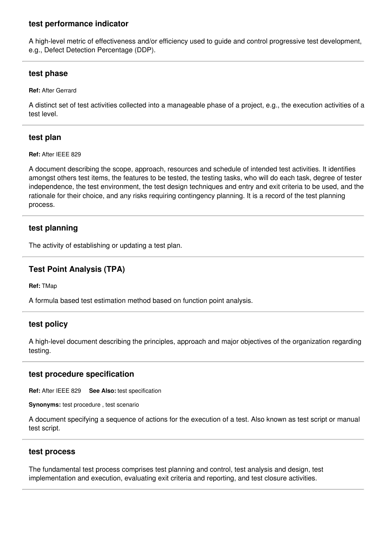# **test performance indicator**

A high-level metric of effectiveness and/or efficiency used to guide and control progressive test development, e.g., Defect Detection Percentage (DDP).

# **test phase**

**Ref:** After Gerrard

A distinct set of test activities collected into a manageable phase of a project, e.g., the execution activities of a test level.

# **test plan**

**Ref:** After IEEE 829

A document describing the scope, approach, resources and schedule of intended test activities. It identifies amongst others test items, the features to be tested, the testing tasks, who will do each task, degree of tester independence, the test environment, the test design techniques and entry and exit criteria to be used, and the rationale for their choice, and any risks requiring contingency planning. It is a record of the test planning process.

# **test planning**

The activity of establishing or updating a test plan.

# **Test Point Analysis (TPA)**

**Ref:** TMap

A formula based test estimation method based on function point analysis.

# **test policy**

A high-level document describing the principles, approach and major objectives of the organization regarding testing.

# **test procedure specification**

**Ref:** After IEEE 829 **See Also:** test specification

**Synonyms:** test procedure , test scenario

A document specifying a sequence of actions for the execution of a test. Also known as test script or manual test script.

# **test process**

The fundamental test process comprises test planning and control, test analysis and design, test implementation and execution, evaluating exit criteria and reporting, and test closure activities.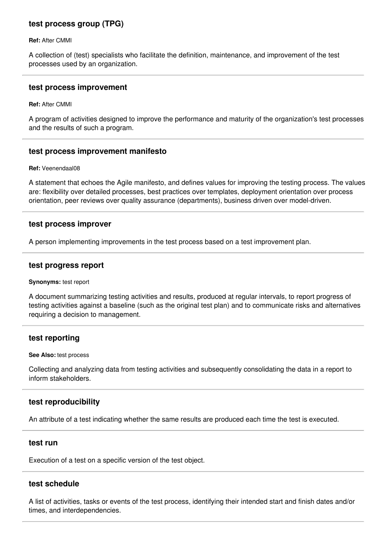# **test process group (TPG)**

**Ref:** After CMMI

A collection of (test) specialists who facilitate the definition, maintenance, and improvement of the test processes used by an organization.

#### **test process improvement**

**Ref:** After CMMI

A program of activities designed to improve the performance and maturity of the organization's test processes and the results of such a program.

## **test process improvement manifesto**

**Ref:** Veenendaal08

A statement that echoes the Agile manifesto, and defines values for improving the testing process. The values are: flexibility over detailed processes, best practices over templates, deployment orientation over process orientation, peer reviews over quality assurance (departments), business driven over model-driven.

#### **test process improver**

A person implementing improvements in the test process based on a test improvement plan.

### **test progress report**

#### **Synonyms:** test report

A document summarizing testing activities and results, produced at regular intervals, to report progress of testing activities against a baseline (such as the original test plan) and to communicate risks and alternatives requiring a decision to management.

## **test reporting**

**See Also:** test process

Collecting and analyzing data from testing activities and subsequently consolidating the data in a report to inform stakeholders.

## **test reproducibility**

An attribute of a test indicating whether the same results are produced each time the test is executed.

### **test run**

Execution of a test on a specific version of the test object.

### **test schedule**

A list of activities, tasks or events of the test process, identifying their intended start and finish dates and/or times, and interdependencies.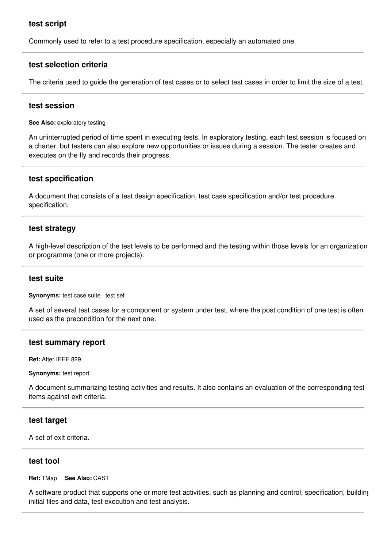# **test script**

Commonly used to refer to a test procedure specification, especially an automated one.

### **test selection criteria**

The criteria used to guide the generation of test cases or to select test cases in order to limit the size of a test.

### **test session**

**See Also:** exploratory testing

An uninterrupted period of time spent in executing tests. In exploratory testing, each test session is focused on a charter, but testers can also explore new opportunities or issues during a session. The tester creates and executes on the fly and records their progress.

### **test specification**

A document that consists of a test design specification, test case specification and/or test procedure specification.

#### **test strategy**

A high-level description of the test levels to be performed and the testing within those levels for an organization or programme (one or more projects).

#### **test suite**

**Synonyms:** test case suite , test set

A set of several test cases for a component or system under test, where the post condition of one test is often used as the precondition for the next one.

### **test summary report**

**Ref:** After IEEE 829

#### **Synonyms:** test report

A document summarizing testing activities and results. It also contains an evaluation of the corresponding test items against exit criteria.

#### **test target**

A set of exit criteria.

#### **test tool**

**Ref:** TMap **See Also:** CAST

A software product that supports one or more test activities, such as planning and control, specification, building initial files and data, test execution and test analysis.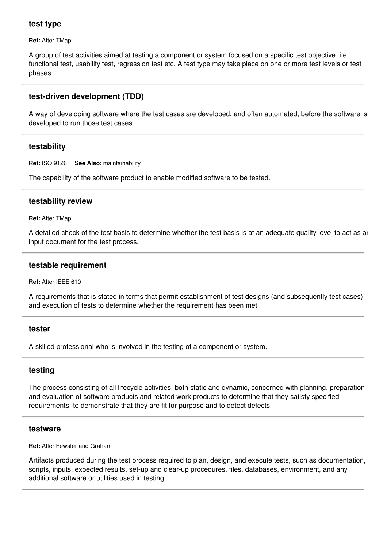# **test type**

**Ref:** After TMap

A group of test activities aimed at testing a component or system focused on a specific test objective, i.e. functional test, usability test, regression test etc. A test type may take place on one or more test levels or test phases.

# **test-driven development (TDD)**

A way of developing software where the test cases are developed, and often automated, before the software is developed to run those test cases.

# **testability**

**Ref:** ISO 9126 **See Also:** maintainability

The capability of the software product to enable modified software to be tested.

# **testability review**

**Ref:** After TMap

A detailed check of the test basis to determine whether the test basis is at an adequate quality level to act as an input document for the test process.

# **testable requirement**

**Ref:** After IEEE 610

A requirements that is stated in terms that permit establishment of test designs (and subsequently test cases) and execution of tests to determine whether the requirement has been met.

## **tester**

A skilled professional who is involved in the testing of a component or system.

# **testing**

The process consisting of all lifecycle activities, both static and dynamic, concerned with planning, preparation and evaluation of software products and related work products to determine that they satisfy specified requirements, to demonstrate that they are fit for purpose and to detect defects.

## **testware**

**Ref:** After Fewster and Graham

Artifacts produced during the test process required to plan, design, and execute tests, such as documentation, scripts, inputs, expected results, set-up and clear-up procedures, files, databases, environment, and any additional software or utilities used in testing.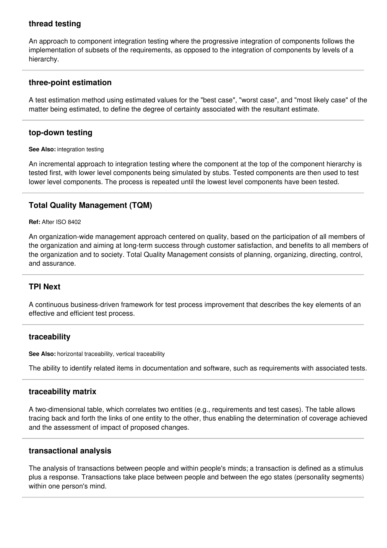# **thread testing**

An approach to component integration testing where the progressive integration of components follows the implementation of subsets of the requirements, as opposed to the integration of components by levels of a hierarchy.

# **three-point estimation**

A test estimation method using estimated values for the "best case", "worst case", and "most likely case" of the matter being estimated, to define the degree of certainty associated with the resultant estimate.

# **top-down testing**

#### **See Also:** integration testing

An incremental approach to integration testing where the component at the top of the component hierarchy is tested first, with lower level components being simulated by stubs. Tested components are then used to test lower level components. The process is repeated until the lowest level components have been tested.

# **Total Quality Management (TQM)**

#### **Ref:** After ISO 8402

An organization-wide management approach centered on quality, based on the participation of all members of the organization and aiming at long-term success through customer satisfaction, and benefits to all members of the organization and to society. Total Quality Management consists of planning, organizing, directing, control, and assurance.

# **TPI Next**

A continuous business-driven framework for test process improvement that describes the key elements of an effective and efficient test process.

## **traceability**

**See Also:** horizontal traceability, vertical traceability

The ability to identify related items in documentation and software, such as requirements with associated tests.

## **traceability matrix**

A two-dimensional table, which correlates two entities (e.g., requirements and test cases). The table allows tracing back and forth the links of one entity to the other, thus enabling the determination of coverage achieved and the assessment of impact of proposed changes.

## **transactional analysis**

The analysis of transactions between people and within people's minds; a transaction is defined as a stimulus plus a response. Transactions take place between people and between the ego states (personality segments) within one person's mind.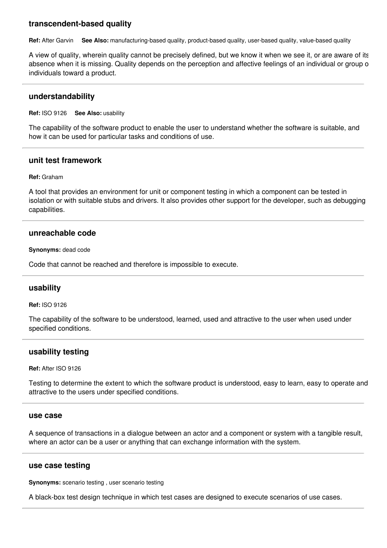# **transcendent-based quality**

**Ref:** After Garvin **See Also:** manufacturing-based quality, product-based quality, user-based quality, value-based quality

A view of quality, wherein quality cannot be precisely defined, but we know it when we see it, or are aware of its absence when it is missing. Quality depends on the perception and affective feelings of an individual or group o individuals toward a product.

### **understandability**

**Ref:** ISO 9126 **See Also:** usability

The capability of the software product to enable the user to understand whether the software is suitable, and how it can be used for particular tasks and conditions of use.

### **unit test framework**

#### **Ref:** Graham

A tool that provides an environment for unit or component testing in which a component can be tested in isolation or with suitable stubs and drivers. It also provides other support for the developer, such as debugging capabilities.

### **unreachable code**

**Synonyms:** dead code

Code that cannot be reached and therefore is impossible to execute.

## **usability**

**Ref:** ISO 9126

The capability of the software to be understood, learned, used and attractive to the user when used under specified conditions.

#### **usability testing**

**Ref:** After ISO 9126

Testing to determine the extent to which the software product is understood, easy to learn, easy to operate and attractive to the users under specified conditions.

#### **use case**

A sequence of transactions in a dialogue between an actor and a component or system with a tangible result, where an actor can be a user or anything that can exchange information with the system.

### **use case testing**

**Synonyms:** scenario testing , user scenario testing

A black-box test design technique in which test cases are designed to execute scenarios of use cases.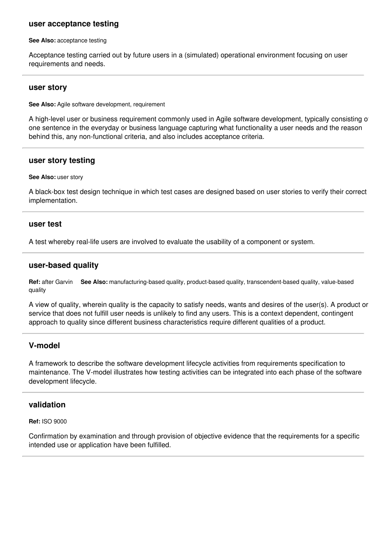### **user acceptance testing**

**See Also:** acceptance testing

Acceptance testing carried out by future users in a (simulated) operational environment focusing on user requirements and needs.

#### **user story**

**See Also:** Agile software development, requirement

A high-level user or business requirement commonly used in Agile software development, typically consisting of one sentence in the everyday or business language capturing what functionality a user needs and the reason behind this, any non-functional criteria, and also includes acceptance criteria.

#### **user story testing**

#### **See Also:** user story

A black-box test design technique in which test cases are designed based on user stories to verify their correct implementation.

#### **user test**

A test whereby real-life users are involved to evaluate the usability of a component or system.

### **user-based quality**

**Ref:** after Garvin **See Also:** manufacturing-based quality, product-based quality, transcendent-based quality, value-based quality

A view of quality, wherein quality is the capacity to satisfy needs, wants and desires of the user(s). A product or service that does not fulfill user needs is unlikely to find any users. This is a context dependent, contingent approach to quality since different business characteristics require different qualities of a product.

### **V-model**

A framework to describe the software development lifecycle activities from requirements specification to maintenance. The V-model illustrates how testing activities can be integrated into each phase of the software development lifecycle.

### **validation**

**Ref:** ISO 9000

Confirmation by examination and through provision of objective evidence that the requirements for a specific intended use or application have been fulfilled.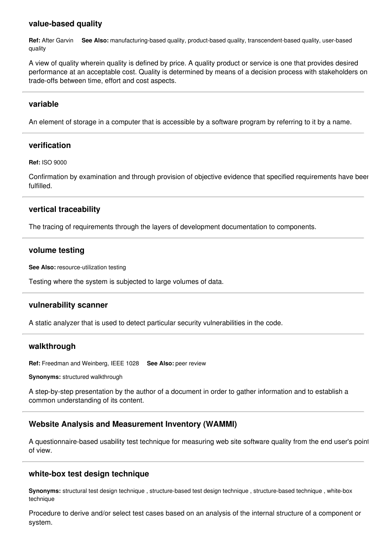# **value-based quality**

**Ref:** After Garvin **See Also:** manufacturing-based quality, product-based quality, transcendent-based quality, user-based quality

A view of quality wherein quality is defined by price. A quality product or service is one that provides desired performance at an acceptable cost. Quality is determined by means of a decision process with stakeholders on trade-offs between time, effort and cost aspects.

## **variable**

An element of storage in a computer that is accessible by a software program by referring to it by a name.

## **verification**

**Ref:** ISO 9000

Confirmation by examination and through provision of objective evidence that specified requirements have been fulfilled.

## **vertical traceability**

The tracing of requirements through the layers of development documentation to components.

#### **volume testing**

**See Also:** resource-utilization testing

Testing where the system is subjected to large volumes of data.

## **vulnerability scanner**

A static analyzer that is used to detect particular security vulnerabilities in the code.

## **walkthrough**

**Ref:** Freedman and Weinberg, IEEE 1028 **See Also:** peer review

**Synonyms:** structured walkthrough

A step-by-step presentation by the author of a document in order to gather information and to establish a common understanding of its content.

# **Website Analysis and Measurement Inventory (WAMMI)**

A questionnaire-based usability test technique for measuring web site software quality from the end user's point of view.

## **white-box test design technique**

**Synonyms:** structural test design technique , structure-based test design technique , structure-based technique , white-box technique

Procedure to derive and/or select test cases based on an analysis of the internal structure of a component or system.